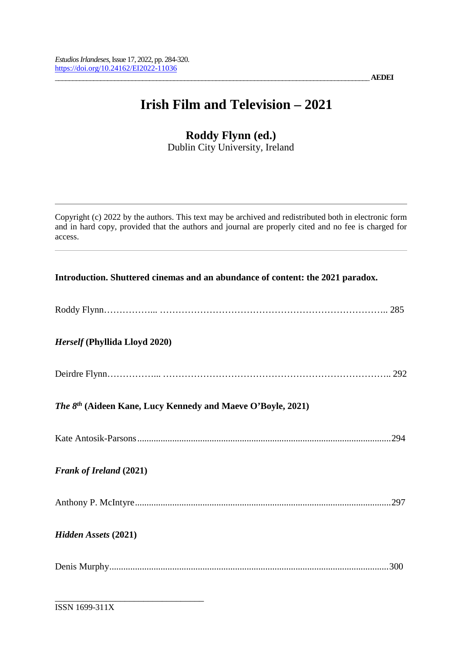\_\_\_\_\_\_\_\_\_\_\_\_\_\_\_\_\_\_\_\_\_\_\_\_\_\_\_\_\_\_\_\_\_\_\_\_\_\_\_\_\_\_\_\_\_\_\_\_\_\_\_\_\_\_\_\_\_\_\_\_\_\_\_\_\_\_\_\_\_\_\_\_\_\_\_\_\_\_\_\_\_\_\_\_\_\_\_\_\_\_ **AEDEI**

# **Irish Film and Television – 2021**

## **Roddy Flynn (ed.)**

Dublin City University, Ireland

Copyright (c) 2022 by the authors. This text may be archived and redistributed both in electronic form and in hard copy, provided that the authors and journal are properly cited and no fee is charged for access.

### **Introduction. Shuttered cinemas and an abundance of content: the 2021 paradox.**

|--|--|

### *Herself* **(Phyllida Lloyd 2020)**

Deirdre Flynn……………... ……………………………………………………………….. 292

## *The 8th* **(Aideen Kane, Lucy Kennedy and Maeve O'Boyle, 2021)**

Kate Antosik-Parsons.............................................................................................................294

## *Frank of Ireland* **(2021)**

Anthony P. McIntyre..............................................................................................................297

## *Hidden Assets* **(2021)**

\_\_\_\_\_\_\_\_\_\_\_\_\_\_\_\_\_\_\_\_\_\_\_\_\_\_\_\_\_\_\_\_

|--|--|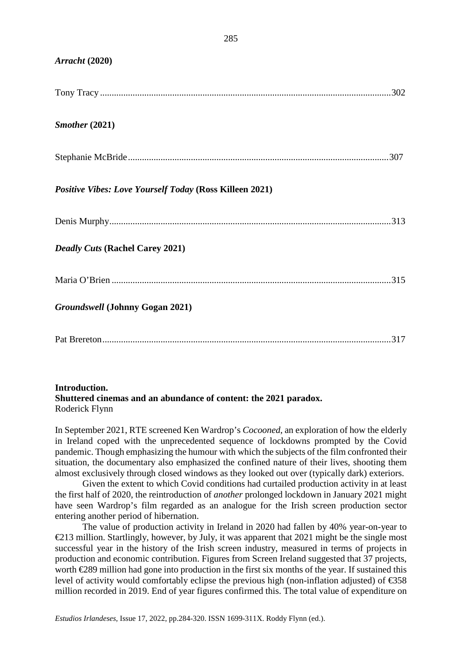| $\textit{Arracht}$ (2020)                                      |  |
|----------------------------------------------------------------|--|
|                                                                |  |
| Smother (2021)                                                 |  |
|                                                                |  |
| <b>Positive Vibes: Love Yourself Today (Ross Killeen 2021)</b> |  |
|                                                                |  |
| <b>Deadly Cuts (Rachel Carey 2021)</b>                         |  |
|                                                                |  |
| Groundswell (Johnny Gogan 2021)                                |  |
|                                                                |  |

## **Introduction. Shuttered cinemas and an abundance of content: the 2021 paradox.** Roderick Flynn

In September 2021, RTE screened Ken Wardrop's *Cocooned*, an exploration of how the elderly in Ireland coped with the unprecedented sequence of lockdowns prompted by the Covid pandemic. Though emphasizing the humour with which the subjects of the film confronted their situation, the documentary also emphasized the confined nature of their lives, shooting them almost exclusively through closed windows as they looked out over (typically dark) exteriors.

Given the extent to which Covid conditions had curtailed production activity in at least the first half of 2020, the reintroduction of *another* prolonged lockdown in January 2021 might have seen Wardrop's film regarded as an analogue for the Irish screen production sector entering another period of hibernation.

The value of production activity in Ireland in 2020 had fallen by 40% year-on-year to €213 million. Startlingly, however, by July, it was apparent that 2021 might be the single most successful year in the history of the Irish screen industry, measured in terms of projects in production and economic contribution. Figures from Screen Ireland suggested that 37 projects, worth €289 million had gone into production in the first six months of the year. If sustained this level of activity would comfortably eclipse the previous high (non-inflation adjusted) of  $\epsilon$ 358 million recorded in 2019. End of year figures confirmed this. The total value of expenditure on

*Arracht* **(2020)**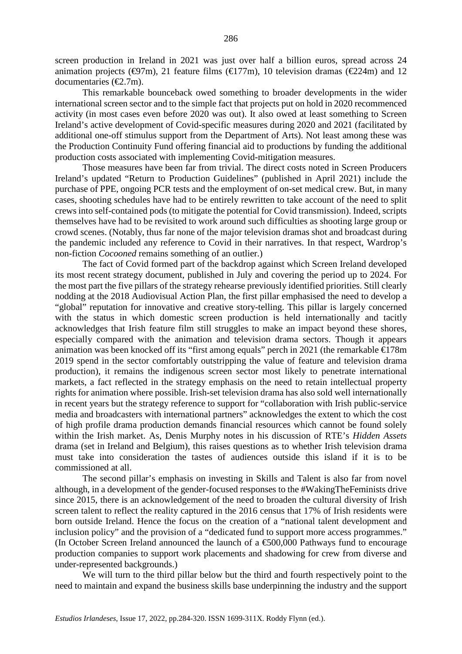screen production in Ireland in 2021 was just over half a billion euros, spread across 24 animation projects ( $\Theta$ 7m), 21 feature films ( $\Theta$ 177m), 10 television dramas ( $\Theta$ 24m) and 12 documentaries  $(\epsilon 2.7m)$ .

This remarkable bounceback owed something to broader developments in the wider international screen sector and to the simple fact that projects put on hold in 2020 recommenced activity (in most cases even before 2020 was out). It also owed at least something to Screen Ireland's active development of Covid-specific measures during 2020 and 2021 (facilitated by additional one-off stimulus support from the Department of Arts). Not least among these was the Production Continuity Fund offering financial aid to productions by funding the additional production costs associated with implementing Covid-mitigation measures.

Those measures have been far from trivial. The direct costs noted in Screen Producers Ireland's updated "Return to Production Guidelines" (published in April 2021) include the purchase of PPE, ongoing PCR tests and the employment of on-set medical crew. But, in many cases, shooting schedules have had to be entirely rewritten to take account of the need to split crews into self-contained pods (to mitigate the potential for Covid transmission). Indeed, scripts themselves have had to be revisited to work around such difficulties as shooting large group or crowd scenes. (Notably, thus far none of the major television dramas shot and broadcast during the pandemic included any reference to Covid in their narratives. In that respect, Wardrop's non-fiction *Cocooned* remains something of an outlier.)

The fact of Covid formed part of the backdrop against which Screen Ireland developed its most recent strategy document, published in July and covering the period up to 2024. For the most part the five pillars of the strategy rehearse previously identified priorities. Still clearly nodding at the 2018 Audiovisual Action Plan, the first pillar emphasised the need to develop a "global" reputation for innovative and creative story-telling. This pillar is largely concerned with the status in which domestic screen production is held internationally and tacitly acknowledges that Irish feature film still struggles to make an impact beyond these shores, especially compared with the animation and television drama sectors. Though it appears animation was been knocked off its "first among equals" perch in 2021 (the remarkable  $\bigoplus$  78m 2019 spend in the sector comfortably outstripping the value of feature and television drama production), it remains the indigenous screen sector most likely to penetrate international markets, a fact reflected in the strategy emphasis on the need to retain intellectual property rights for animation where possible. Irish-set television drama has also sold well internationally in recent years but the strategy reference to support for "collaboration with Irish public-service media and broadcasters with international partners" acknowledges the extent to which the cost of high profile drama production demands financial resources which cannot be found solely within the Irish market. As, Denis Murphy notes in his discussion of RTE's *Hidden Assets* drama (set in Ireland and Belgium), this raises questions as to whether Irish television drama must take into consideration the tastes of audiences outside this island if it is to be commissioned at all.

The second pillar's emphasis on investing in Skills and Talent is also far from novel although, in a development of the gender-focused responses to the #WakingTheFeminists drive since 2015, there is an acknowledgement of the need to broaden the cultural diversity of Irish screen talent to reflect the reality captured in the 2016 census that 17% of Irish residents were born outside Ireland. Hence the focus on the creation of a "national talent development and inclusion policy" and the provision of a "dedicated fund to support more access programmes." (In October Screen Ireland announced the launch of a  $\epsilon$ 500,000 Pathways fund to encourage production companies to support work placements and shadowing for crew from diverse and under-represented backgrounds.)

We will turn to the third pillar below but the third and fourth respectively point to the need to maintain and expand the business skills base underpinning the industry and the support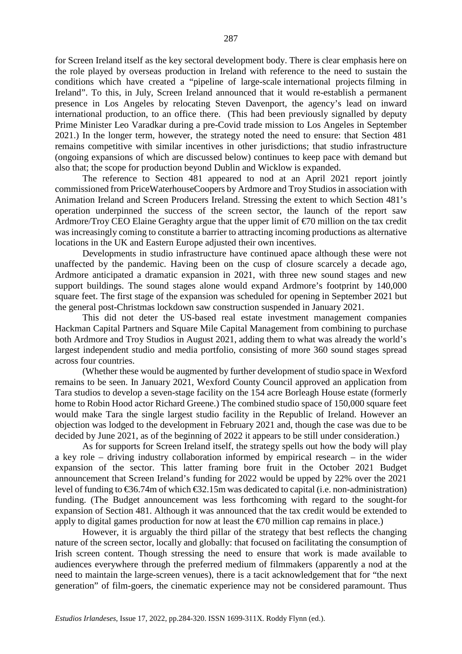for Screen Ireland itself as the key sectoral development body. There is clear emphasis here on the role played by overseas production in Ireland with reference to the need to sustain the conditions which have created a "pipeline of large-scale international projects filming in Ireland". To this, in July, Screen Ireland announced that it would re-establish a permanent presence in Los Angeles by relocating Steven Davenport, the agency's lead on inward international production, to an office there. (This had been previously signalled by deputy Prime Minister Leo Varadkar during a pre-Covid trade mission to Los Angeles in September 2021.) In the longer term, however, the strategy noted the need to ensure: that Section 481 remains competitive with similar incentives in other jurisdictions; that studio infrastructure (ongoing expansions of which are discussed below) continues to keep pace with demand but also that; the scope for production beyond Dublin and Wicklow is expanded.

The reference to Section 481 appeared to nod at an April 2021 report jointly commissioned from PriceWaterhouseCoopers by Ardmore and Troy Studios in association with Animation Ireland and Screen Producers Ireland. Stressing the extent to which Section 481's operation underpinned the success of the screen sector, the launch of the report saw Ardmore/Troy CEO Elaine Geraghty argue that the upper limit of  $\epsilon$  0 million on the tax credit was increasingly coming to constitute a barrier to attracting incoming productions as alternative locations in the UK and Eastern Europe adjusted their own incentives.

Developments in studio infrastructure have continued apace although these were not unaffected by the pandemic. Having been on the cusp of closure scarcely a decade ago, Ardmore anticipated a dramatic expansion in 2021, with three new sound stages and new support buildings. The sound stages alone would expand Ardmore's footprint by 140,000 square feet. The first stage of the expansion was scheduled for opening in September 2021 but the general post-Christmas lockdown saw construction suspended in January 2021.

This did not deter the US-based real estate investment management companies Hackman Capital Partners and Square Mile Capital Management from combining to purchase both Ardmore and Troy Studios in August 2021, adding them to what was already the world's largest independent studio and media portfolio, consisting of more 360 sound stages spread across four countries.

(Whether these would be augmented by further development of studio space in Wexford remains to be seen. In January 2021, Wexford County Council approved an application from Tara studios to develop a seven-stage facility on the 154 acre Borleagh House estate (formerly home to Robin Hood actor Richard Greene.) The combined studio space of 150,000 square feet would make Tara the single largest studio facility in the Republic of Ireland. However an objection was lodged to the development in February 2021 and, though the case was due to be decided by June 2021, as of the beginning of 2022 it appears to be still under consideration.)

As for supports for Screen Ireland itself, the strategy spells out how the body will play a key role – driving industry collaboration informed by empirical research – in the wider expansion of the sector. This latter framing bore fruit in the October 2021 Budget announcement that Screen Ireland's funding for 2022 would be upped by 22% over the 2021 level of funding to €36.74m of which €32.15m was dedicated to capital (i.e. non-administration) funding. (The Budget announcement was less forthcoming with regard to the sought-for expansion of Section 481. Although it was announced that the tax credit would be extended to apply to digital games production for now at least the  $\epsilon$  million cap remains in place.)

However, it is arguably the third pillar of the strategy that best reflects the changing nature of the screen sector, locally and globally: that focused on facilitating the consumption of Irish screen content. Though stressing the need to ensure that work is made available to audiences everywhere through the preferred medium of filmmakers (apparently a nod at the need to maintain the large-screen venues), there is a tacit acknowledgement that for "the next generation" of film-goers, the cinematic experience may not be considered paramount. Thus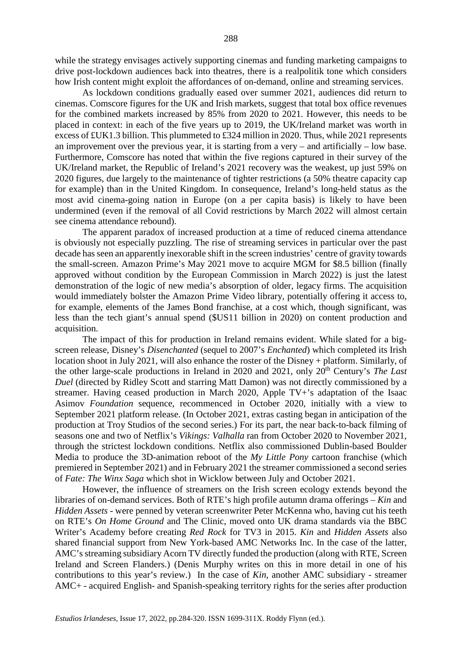while the strategy envisages actively supporting cinemas and funding marketing campaigns to drive post-lockdown audiences back into theatres, there is a realpolitik tone which considers how Irish content might exploit the affordances of on-demand, online and streaming services.

As lockdown conditions gradually eased over summer 2021, audiences did return to cinemas. Comscore figures for the UK and Irish markets, suggest that total box office revenues for the combined markets increased by 85% from 2020 to 2021. However, this needs to be placed in context: in each of the five years up to 2019, the UK/Ireland market was worth in excess of £UK1.3 billion. This plummeted to £324 million in 2020. Thus, while 2021 represents an improvement over the previous year, it is starting from a very – and artificially – low base. Furthermore, Comscore has noted that within the five regions captured in their survey of the UK/Ireland market, the Republic of Ireland's 2021 recovery was the weakest, up just 59% on 2020 figures, due largely to the maintenance of tighter restrictions (a 50% theatre capacity cap for example) than in the United Kingdom. In consequence, Ireland's long-held status as the most avid cinema-going nation in Europe (on a per capita basis) is likely to have been undermined (even if the removal of all Covid restrictions by March 2022 will almost certain see cinema attendance rebound).

The apparent paradox of increased production at a time of reduced cinema attendance is obviously not especially puzzling. The rise of streaming services in particular over the past decade has seen an apparently inexorable shift in the screen industries' centre of gravity towards the small-screen. Amazon Prime's May 2021 move to acquire MGM for \$8.5 billion (finally approved without condition by the European Commission in March 2022) is just the latest demonstration of the logic of new media's absorption of older, legacy firms. The acquisition would immediately bolster the Amazon Prime Video library, potentially offering it access to, for example, elements of the James Bond franchise, at a cost which, though significant, was less than the tech giant's annual spend (\$US11 billion in 2020) on content production and acquisition.

The impact of this for production in Ireland remains evident. While slated for a bigscreen release, Disney's *Disenchanted* (sequel to 2007's *Enchanted*) which completed its Irish location shoot in July 2021, will also enhance the roster of the Disney + platform. Similarly, of the other large-scale productions in Ireland in 2020 and 2021, only 20<sup>th</sup> Century's *The Last Duel* (directed by Ridley Scott and starring Matt Damon) was not directly commissioned by a streamer. Having ceased production in March 2020, Apple TV+'s adaptation of the Isaac Asimov *Foundation* sequence, recommenced in October 2020, initially with a view to September 2021 platform release. (In October 2021, extras casting began in anticipation of the production at Troy Studios of the second series.) For its part, the near back-to-back filming of seasons one and two of Netflix's *Vikings: Valhalla* ran from October 2020 to November 2021, through the strictest lockdown conditions. Netflix also commissioned Dublin-based Boulder Media to produce the 3D-animation reboot of the *My Little Pony* cartoon franchise (which premiered in September 2021) and in February 2021 the streamer commissioned a second series of *Fate: The Winx Saga* which shot in Wicklow between July and October 2021.

However, the influence of streamers on the Irish screen ecology extends beyond the libraries of on-demand services. Both of RTE's high profile autumn drama offerings – *Kin* and *Hidden Assets* - were penned by veteran screenwriter Peter McKenna who, having cut his teeth on RTE's *On Home Ground* and The Clinic, moved onto UK drama standards via the BBC Writer's Academy before creating *Red Rock* for TV3 in 2015. *Kin* and *Hidden Assets* also shared financial support from New York-based AMC Networks Inc. In the case of the latter, AMC's streaming subsidiary Acorn TV directly funded the production (along with RTE, Screen Ireland and Screen Flanders.) (Denis Murphy writes on this in more detail in one of his contributions to this year's review.) In the case of *Kin*, another AMC subsidiary - streamer AMC+ - acquired English- and Spanish-speaking territory rights for the series after production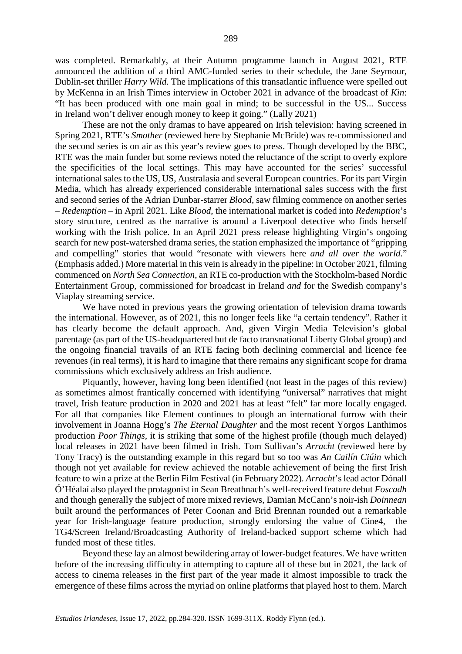was completed. Remarkably, at their Autumn programme launch in August 2021, RTE announced the addition of a third AMC-funded series to their schedule, the Jane Seymour, Dublin-set thriller *Harry Wild*. The implications of this transatlantic influence were spelled out by McKenna in an Irish Times interview in October 2021 in advance of the broadcast of *Kin*: "It has been produced with one main goal in mind; to be successful in the US... Success in [Ireland](https://www.irishtimes.com/news) won't deliver enough money to keep it going." (Lally 2021)

These are not the only dramas to have appeared on Irish television: having screened in Spring 2021, RTE's *Smother* (reviewed here by Stephanie McBride) was re-commissioned and the second series is on air as this year's review goes to press. Though developed by the BBC, RTE was the main funder but some reviews noted the reluctance of the script to overly explore the specificities of the local settings. This may have accounted for the series' successful international sales to the US, US, Australasia and several European countries. For its part Virgin Media, which has already experienced considerable international sales success with the first and second series of the Adrian Dunbar-starrer *Blood*, saw filming commence on another series – *Redemption* – in April 2021. Like *Blood*, the international market is coded into *Redemption*'s story structure, centred as the narrative is around a Liverpool detective who finds herself working with the Irish police. In an April 2021 press release highlighting Virgin's ongoing search for new post-watershed drama series, the station emphasized the importance of "gripping and compelling" stories that would "resonate with viewers here *and all over the world.*" (Emphasis added.) More material in this vein is already in the pipeline: in October 2021, filming commenced on *North Sea Connection*, an RTE co-production with the Stockholm-based Nordic Entertainment Group, commissioned for broadcast in Ireland *and* for the Swedish company's Viaplay streaming service.

We have noted in previous years the growing orientation of television drama towards the international. However, as of 2021, this no longer feels like "a certain tendency". Rather it has clearly become the default approach. And, given Virgin Media Television's global parentage (as part of the US-headquartered but de facto transnational Liberty Global group) and the ongoing financial travails of an RTE facing both declining commercial and licence fee revenues (in real terms), it is hard to imagine that there remains any significant scope for drama commissions which exclusively address an Irish audience.

Piquantly, however, having long been identified (not least in the pages of this review) as sometimes almost frantically concerned with identifying "universal" narratives that might travel, Irish feature production in 2020 and 2021 has at least "felt" far more locally engaged. For all that companies like Element continues to plough an international furrow with their involvement in Joanna Hogg's *The Eternal Daughter* and the most recent Yorgos Lanthimos production *Poor Things,* it is striking that some of the highest profile (though much delayed) local releases in 2021 have been filmed in Irish. Tom Sullivan's *Arracht* (reviewed here by Tony Tracy) is the outstanding example in this regard but so too was *An Cailín Ciúin* which though not yet available for review achieved the notable achievement of being the first Irish feature to win a prize at the Berlin Film Festival (in February 2022). *Arracht*'s lead actor Dónall Ó'Héalaí also played the protagonist in Sean Breathnach's well-received feature debut *Foscadh* and though generally the subject of more mixed reviews, Damian McCann's noir-ish *Doinnean* built around the performances of Peter Coonan and Brid Brennan rounded out a remarkable year for Irish-language feature production, strongly endorsing the value of Cine4, the TG4/Screen Ireland/Broadcasting Authority of Ireland-backed support scheme which had funded most of these titles.

Beyond these lay an almost bewildering array of lower-budget features. We have written before of the increasing difficulty in attempting to capture all of these but in 2021, the lack of access to cinema releases in the first part of the year made it almost impossible to track the emergence of these films across the myriad on online platforms that played host to them. March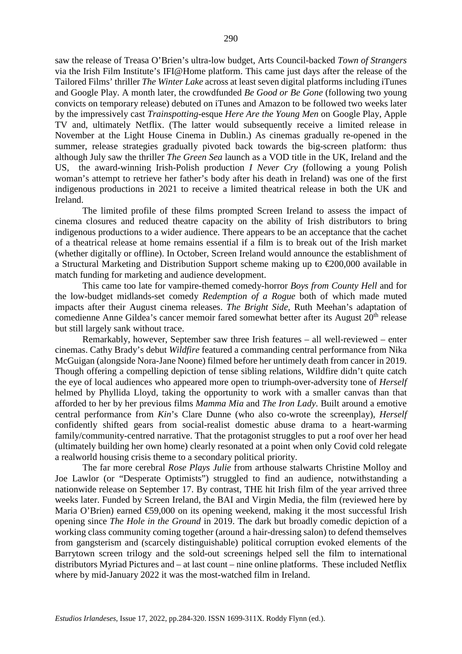saw the release of Treasa O'Brien's ultra-low budget, Arts Council-backed *Town of Strangers*  via the Irish Film Institute's IFI@Home platform. This came just days after the release of the Tailored Films' thriller *The Winter Lake* across at least seven digital platforms including iTunes and Google Play. A month later, the crowdfunded *Be Good or Be Gone* (following two young convicts on temporary release) debuted on iTunes and Amazon to be followed two weeks later by the impressively cast *Trainspotting*-esque *Here Are the Young Men* on Google Play, Apple TV and, ultimately Netflix. (The latter would subsequently receive a limited release in November at the Light House Cinema in Dublin.) As cinemas gradually re-opened in the summer, release strategies gradually pivoted back towards the big-screen platform: thus although July saw the thriller *The Green Sea* launch as a VOD title in the UK, Ireland and the US, the award-winning Irish-Polish production *I Never Cry* (following a young Polish woman's attempt to retrieve her father's body after his death in Ireland) was one of the first indigenous productions in 2021 to receive a limited theatrical release in both the UK and Ireland.

The limited profile of these films prompted Screen Ireland to assess the impact of cinema closures and reduced theatre capacity on the ability of Irish distributors to bring indigenous productions to a wider audience. There appears to be an acceptance that the cachet of a theatrical release at home remains essential if a film is to break out of the Irish market (whether digitally or offline). In October, Screen Ireland would announce the establishment of a Structural Marketing and Distribution Support scheme making up to €200,000 available in match funding for marketing and audience development.

This came too late for vampire-themed comedy-horror *Boys from County Hell* and for the low-budget midlands-set comedy *Redemption of a Rogue* both of which made muted impacts after their August cinema releases. *The Bright Side*, Ruth Meehan's adaptation of comedienne Anne Gildea's cancer memoir fared somewhat better after its August 20<sup>th</sup> release but still largely sank without trace.

Remarkably, however, September saw three Irish features – all well-reviewed – enter cinemas. Cathy Brady's debut *Wildfire* featured a commanding central performance from Nika McGuigan (alongside Nora-Jane Noone) filmed before her untimely death from cancer in 2019. Though offering a compelling depiction of tense sibling relations, Wildfire didn't quite catch the eye of local audiences who appeared more open to triumph-over-adversity tone of *Herself*  helmed by Phyllida Lloyd, taking the opportunity to work with a smaller canvas than that afforded to her by her previous films *Mamma Mia* and *The Iron Lady*. Built around a emotive central performance from *Kin*'s Clare Dunne (who also co-wrote the screenplay), *Herself* confidently shifted gears from social-realist domestic abuse drama to a heart-warming family/community-centred narrative. That the protagonist struggles to put a roof over her head (ultimately building her own home) clearly resonated at a point when only Covid cold relegate a realworld housing crisis theme to a secondary political priority.

The far more cerebral *Rose Plays Julie* from arthouse stalwarts Christine Molloy and Joe Lawlor (or "Desperate Optimists") struggled to find an audience, notwithstanding a nationwide release on September 17. By contrast, THE hit Irish film of the year arrived three weeks later. Funded by Screen Ireland, the BAI and Virgin Media, the film (reviewed here by Maria O'Brien) earned  $\epsilon$ 59,000 on its opening weekend, making it the most successful Irish opening since *The Hole in the Ground* in 2019. The dark but broadly comedic depiction of a working class community coming together (around a hair-dressing salon) to defend themselves from gangsterism and (scarcely distinguishable) political corruption evoked elements of the Barrytown screen trilogy and the sold-out screenings helped sell the film to international distributors Myriad Pictures and – at last count – nine online platforms. These included Netflix where by mid-January 2022 it was the most-watched film in Ireland.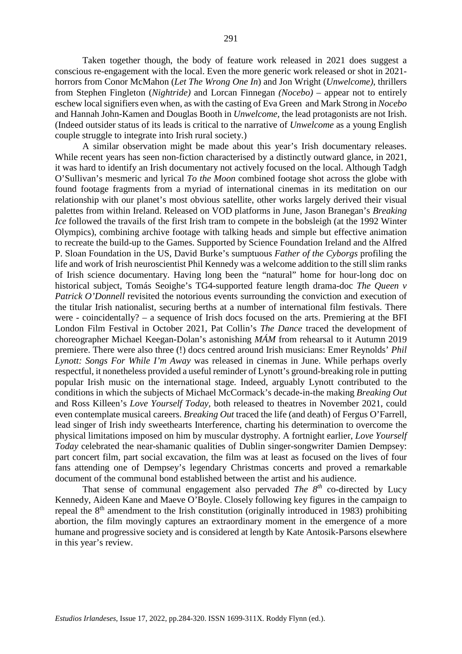Taken together though, the body of feature work released in 2021 does suggest a conscious re-engagement with the local. Even the more generic work released or shot in 2021 horrors from Conor McMahon (*Let The Wrong One In*) and Jon Wright (*Unwelcome)*, thrillers from Stephen Fingleton (*Nightride)* and Lorcan Finnegan *(Nocebo) –* appear not to entirely eschew local signifiers even when, as with the casting of Eva Green and Mark Strong in *Nocebo* and Hannah John-Kamen and Douglas Booth in *Unwelcome,* the lead protagonists are not Irish. (Indeed outsider status of its leads is critical to the narrative of *Unwelcome* as a young English couple struggle to integrate into Irish rural society.)

A similar observation might be made about this year's Irish documentary releases. While recent years has seen non-fiction characterised by a distinctly outward glance, in 2021, it was hard to identify an Irish documentary not actively focused on the local. Although Tadgh O'Sullivan's mesmeric and lyrical *To the Moon* combined footage shot across the globe with found footage fragments from a myriad of international cinemas in its meditation on our relationship with our planet's most obvious satellite, other works largely derived their visual palettes from within Ireland. Released on VOD platforms in June, Jason Branegan's *Breaking Ice* followed the travails of the first Irish tram to compete in the bobsleigh (at the 1992 Winter Olympics), combining archive footage with talking heads and simple but effective animation to recreate the build-up to the Games. Supported by Science Foundation Ireland and the Alfred P. Sloan Foundation in the US, David Burke's sumptuous *Father of the Cyborgs* profiling the life and work of Irish neuroscientist Phil Kennedy was a welcome addition to the still slim ranks of Irish science documentary. Having long been the "natural" home for hour-long doc on historical subject, Tomás Seoighe's TG4-supported feature length drama-doc *The Queen v Patrick O'Donnell* revisited the notorious events surrounding the conviction and execution of the titular Irish nationalist, securing berths at a number of international film festivals. There were - coincidentally? – a sequence of Irish docs focused on the arts. Premiering at the BFI London Film Festival in October 2021, Pat Collin's *The Dance* traced the development of choreographer Michael Keegan-Dolan's astonishing *MÁM* from rehearsal to it Autumn 2019 premiere. There were also three (!) docs centred around Irish musicians: Emer Reynolds' *Phil Lynott: Songs For While I'm Away* was released in cinemas in June. While perhaps overly respectful, it nonetheless provided a useful reminder of Lynott's ground-breaking role in putting popular Irish music on the international stage. Indeed, arguably Lynott contributed to the conditions in which the subjects of Michael McCormack's decade-in-the making *Breaking Out* and Ross Killeen's *Love Yourself Today,* both released to theatres in November 2021, could even contemplate musical careers. *Breaking Out* traced the life (and death) of Fergus O'Farrell, lead singer of Irish indy sweethearts Interference, charting his determination to overcome the physical limitations imposed on him by muscular dystrophy. A fortnight earlier, *Love Yourself Today* celebrated the near-shamanic qualities of Dublin singer-songwriter Damien Dempsey: part concert film, part social excavation, the film was at least as focused on the lives of four fans attending one of Dempsey's legendary Christmas concerts and proved a remarkable document of the communal bond established between the artist and his audience.

That sense of communal engagement also pervaded *The 8th* co-directed by Lucy Kennedy, Aideen Kane and Maeve O'Boyle. Closely following key figures in the campaign to repeal the  $8<sup>th</sup>$  amendment to the Irish constitution (originally introduced in 1983) prohibiting abortion, the film movingly captures an extraordinary moment in the emergence of a more humane and progressive society and is considered at length by Kate Antosik-Parsons elsewhere in this year's review.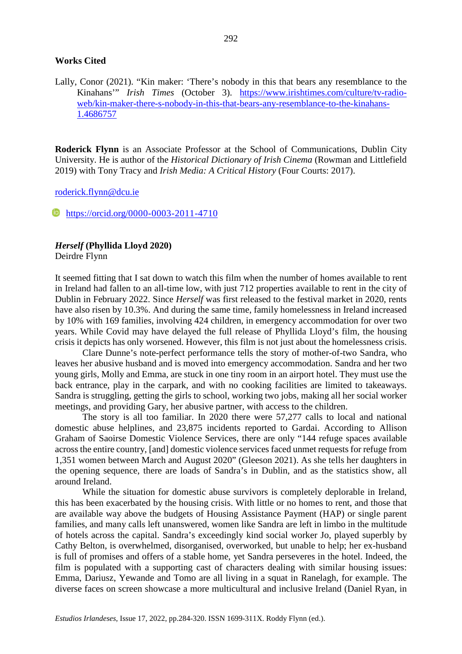#### **Works Cited**

Lally, Conor (2021). "Kin maker: 'There's nobody in this that bears any resemblance to the Kinahans'" *Irish Times* (October 3). [https://www.irishtimes.com/culture/tv-radio](https://www.irishtimes.com/culture/tv-radio-web/kin-maker-there-s-nobody-in-this-that-bears-any-resemblance-to-the-kinahans-1.4686757)[web/kin-maker-there-s-nobody-in-this-that-bears-any-resemblance-to-the-kinahans-](https://www.irishtimes.com/culture/tv-radio-web/kin-maker-there-s-nobody-in-this-that-bears-any-resemblance-to-the-kinahans-1.4686757)[1.4686757](https://www.irishtimes.com/culture/tv-radio-web/kin-maker-there-s-nobody-in-this-that-bears-any-resemblance-to-the-kinahans-1.4686757)

**Roderick Flynn** is an Associate Professor at the School of Communications, Dublin City University. He is author of the *Historical Dictionary of Irish Cinema* (Rowman and Littlefield 2019) with Tony Tracy and *Irish Media: A Critical History* (Four Courts: 2017).

[roderick.flynn@dcu.ie](mailto:roderick.flynn@dcu.ie)

 $\bullet$  <https://orcid.org/0000-0003-2011-4710>

#### *Herself* **(Phyllida Lloyd 2020)**

Deirdre Flynn

It seemed fitting that I sat down to watch this film when the number of homes available to rent in Ireland had fallen to an all-time low, with just 712 properties available to rent in the city of Dublin in February 2022. Since *Herself* was first released to the festival market in 2020, rents have also risen by 10.3%. And during the same time, family homelessness in Ireland increased by 10% with 169 families, involving 424 children, in emergency accommodation for over two years. While Covid may have delayed the full release of Phyllida Lloyd's film, the housing crisis it depicts has only worsened. However, this film is not just about the homelessness crisis.

Clare Dunne's note-perfect performance tells the story of mother-of-two Sandra, who leaves her abusive husband and is moved into emergency accommodation. Sandra and her two young girls, Molly and Emma, are stuck in one tiny room in an airport hotel. They must use the back entrance, play in the carpark, and with no cooking facilities are limited to takeaways. Sandra is struggling, getting the girls to school, working two jobs, making all her social worker meetings, and providing Gary, her abusive partner, with access to the children.

The story is all too familiar. In 2020 there were 57,277 calls to local and national domestic abuse helplines, and 23,875 incidents reported to Gardai. According to Allison Graham of Saoirse Domestic Violence Services, there are only "144 refuge spaces available across the entire country, [and] domestic violence services faced unmet requests for refuge from 1,351 women between March and August 2020" (Gleeson 2021). As she tells her daughters in the opening sequence, there are loads of Sandra's in Dublin, and as the statistics show, all around Ireland.

While the situation for domestic abuse survivors is completely deplorable in Ireland, this has been exacerbated by the housing crisis. With little or no homes to rent, and those that are available way above the budgets of Housing Assistance Payment (HAP) or single parent families, and many calls left unanswered, women like Sandra are left in limbo in the multitude of hotels across the capital. Sandra's exceedingly kind social worker Jo, played superbly by Cathy Belton, is overwhelmed, disorganised, overworked, but unable to help; her ex-husband is full of promises and offers of a stable home, yet Sandra perseveres in the hotel. Indeed, the film is populated with a supporting cast of characters dealing with similar housing issues: Emma, Dariusz, Yewande and Tomo are all living in a squat in Ranelagh, for example. The diverse faces on screen showcase a more multicultural and inclusive Ireland (Daniel Ryan, in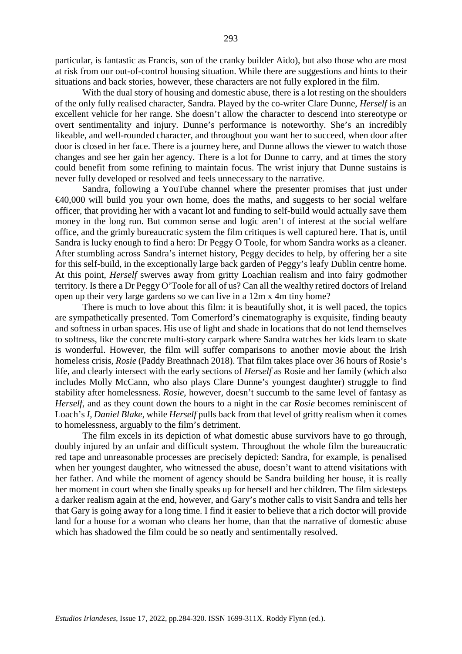particular, is fantastic as Francis, son of the cranky builder Aido), but also those who are most at risk from our out-of-control housing situation. While there are suggestions and hints to their situations and back stories, however, these characters are not fully explored in the film.

With the dual story of housing and domestic abuse, there is a lot resting on the shoulders of the only fully realised character, Sandra. Played by the co-writer Clare Dunne, *Herself* is an excellent vehicle for her range. She doesn't allow the character to descend into stereotype or overt sentimentality and injury. Dunne's performance is noteworthy. She's an incredibly likeable, and well-rounded character, and throughout you want her to succeed, when door after door is closed in her face. There is a journey here, and Dunne allows the viewer to watch those changes and see her gain her agency. There is a lot for Dunne to carry, and at times the story could benefit from some refining to maintain focus. The wrist injury that Dunne sustains is never fully developed or resolved and feels unnecessary to the narrative.

Sandra, following a YouTube channel where the presenter promises that just under €40,000 will build you your own home, does the maths, and suggests to her social welfare officer, that providing her with a vacant lot and funding to self-build would actually save them money in the long run. But common sense and logic aren't of interest at the social welfare office, and the grimly bureaucratic system the film critiques is well captured here. That is, until Sandra is lucky enough to find a hero: Dr Peggy O Toole, for whom Sandra works as a cleaner. After stumbling across Sandra's internet history, Peggy decides to help, by offering her a site for this self-build, in the exceptionally large back garden of Peggy's leafy Dublin centre home. At this point, *Herself* swerves away from gritty Loachian realism and into fairy godmother territory. Is there a Dr Peggy O'Toole for all of us? Can all the wealthy retired doctors of Ireland open up their very large gardens so we can live in a 12m x 4m tiny home?

There is much to love about this film: it is beautifully shot, it is well paced, the topics are sympathetically presented. Tom Comerford's cinematography is exquisite, finding beauty and softness in urban spaces. His use of light and shade in locations that do not lend themselves to softness, like the concrete multi-story carpark where Sandra watches her kids learn to skate is wonderful. However, the film will suffer comparisons to another movie about the Irish homeless crisis, *Rosie* (Paddy Breathnach 2018). That film takes place over 36 hours of Rosie's life, and clearly intersect with the early sections of *Herself* as Rosie and her family (which also includes Molly McCann, who also plays Clare Dunne's youngest daughter) struggle to find stability after homelessness. *Rosie*, however, doesn't succumb to the same level of fantasy as *Herself*, and as they count down the hours to a night in the car *Rosie* becomes reminiscent of Loach's *I, Daniel Blake*, while *Herself* pulls back from that level of gritty realism when it comes to homelessness, arguably to the film's detriment.

The film excels in its depiction of what domestic abuse survivors have to go through, doubly injured by an unfair and difficult system. Throughout the whole film the bureaucratic red tape and unreasonable processes are precisely depicted: Sandra, for example, is penalised when her youngest daughter, who witnessed the abuse, doesn't want to attend visitations with her father. And while the moment of agency should be Sandra building her house, it is really her moment in court when she finally speaks up for herself and her children. The film sidesteps a darker realism again at the end, however, and Gary's mother calls to visit Sandra and tells her that Gary is going away for a long time. I find it easier to believe that a rich doctor will provide land for a house for a woman who cleans her home, than that the narrative of domestic abuse which has shadowed the film could be so neatly and sentimentally resolved.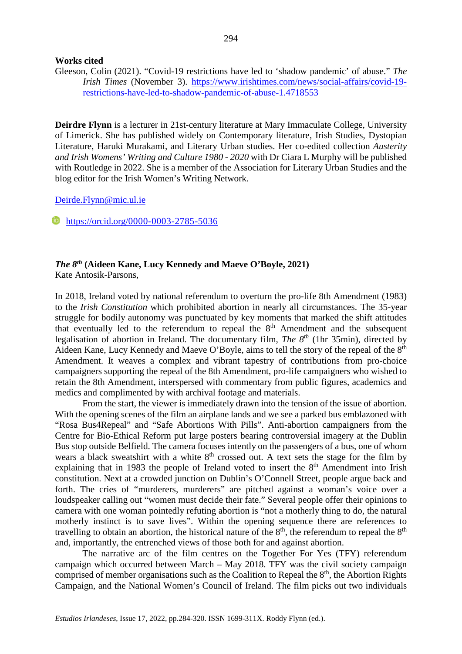#### **Works cited**

Gleeson, Colin (2021). "Covid-19 restrictions have led to 'shadow pandemic' of abuse." *The Irish Times* (November 3). [https://www.irishtimes.com/news/social-affairs/covid-19](https://www.irishtimes.com/news/social-affairs/covid-19-restrictions-have-led-to-shadow-pandemic-of-abuse-1.4718553) [restrictions-have-led-to-shadow-pandemic-of-abuse-1.4718553](https://www.irishtimes.com/news/social-affairs/covid-19-restrictions-have-led-to-shadow-pandemic-of-abuse-1.4718553)

**Deirdre Flynn** is a lecturer in 21st-century literature at Mary Immaculate College, University of Limerick. She has published widely on Contemporary literature, Irish Studies, Dystopian Literature, Haruki Murakami, and Literary Urban studies. Her co-edited collection *Austerity and Irish Womens' Writing and Culture 1980 - 2020* with Dr Ciara L Murphy will be published with Routledge in 2022. She is a member of the Association for Literary Urban Studies and the blog editor for the Irish Women's Writing Network.

[Deirde.Flynn@mic.ul.ie](mailto:Deirde.Flynn@mic.ul.ie)

**b** <https://orcid.org/0000-0003-2785-5036>

#### *The 8th* **(Aideen Kane, Lucy Kennedy and Maeve O'Boyle, 2021)** Kate Antosik-Parsons,

In 2018, Ireland voted by national referendum to overturn the pro-life 8th Amendment (1983) to the *Irish Constitution* which prohibited abortion in nearly all circumstances. The 35-year struggle for bodily autonomy was punctuated by key moments that marked the shift attitudes that eventually led to the referendum to repeal the  $8<sup>th</sup>$  Amendment and the subsequent legalisation of abortion in Ireland. The documentary film, *The 8th* (1hr 35min), directed by Aideen Kane, Lucy Kennedy and Maeve O'Boyle, aims to tell the story of the repeal of the 8<sup>th</sup> Amendment. It weaves a complex and vibrant tapestry of contributions from pro-choice campaigners supporting the repeal of the 8th Amendment, pro-life campaigners who wished to retain the 8th Amendment, interspersed with commentary from public figures, academics and medics and complimented by with archival footage and materials.

From the start, the viewer is immediately drawn into the tension of the issue of abortion. With the opening scenes of the film an airplane lands and we see a parked bus emblazoned with "Rosa Bus4Repeal" and "Safe Abortions With Pills". Anti-abortion campaigners from the Centre for Bio-Ethical Reform put large posters bearing controversial imagery at the Dublin Bus stop outside Belfield. The camera focuses intently on the passengers of a bus, one of whom wears a black sweatshirt with a white  $8<sup>th</sup>$  crossed out. A text sets the stage for the film by explaining that in 1983 the people of Ireland voted to insert the 8<sup>th</sup> Amendment into Irish constitution. Next at a crowded junction on Dublin's O'Connell Street, people argue back and forth. The cries of "murderers, murderers" are pitched against a woman's voice over a loudspeaker calling out "women must decide their fate." Several people offer their opinions to camera with one woman pointedly refuting abortion is "not a motherly thing to do, the natural motherly instinct is to save lives". Within the opening sequence there are references to travelling to obtain an abortion, the historical nature of the  $8<sup>th</sup>$ , the referendum to repeal the  $8<sup>th</sup>$ and, importantly, the entrenched views of those both for and against abortion.

The narrative arc of the film centres on the Together For Yes (TFY) referendum campaign which occurred between March – May 2018. TFY was the civil society campaign comprised of member organisations such as the Coalition to Repeal the 8<sup>th</sup>, the Abortion Rights Campaign, and the National Women's Council of Ireland. The film picks out two individuals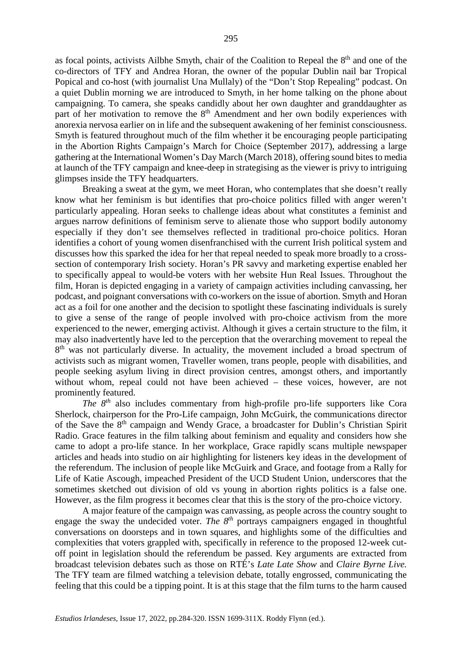as focal points, activists Ailbhe Smyth, chair of the Coalition to Repeal the 8<sup>th</sup> and one of the co-directors of TFY and Andrea Horan, the owner of the popular Dublin nail bar Tropical Popical and co-host (with journalist Una Mullaly) of the "Don't Stop Repealing" podcast. On a quiet Dublin morning we are introduced to Smyth, in her home talking on the phone about campaigning. To camera, she speaks candidly about her own daughter and granddaughter as part of her motivation to remove the  $8<sup>th</sup>$  Amendment and her own bodily experiences with anorexia nervosa earlier on in life and the subsequent awakening of her feminist consciousness. Smyth is featured throughout much of the film whether it be encouraging people participating in the Abortion Rights Campaign's March for Choice (September 2017), addressing a large gathering at the International Women's Day March (March 2018), offering sound bites to media at launch of the TFY campaign and knee-deep in strategising as the viewer is privy to intriguing glimpses inside the TFY headquarters.

Breaking a sweat at the gym, we meet Horan, who contemplates that she doesn't really know what her feminism is but identifies that pro-choice politics filled with anger weren't particularly appealing. Horan seeks to challenge ideas about what constitutes a feminist and argues narrow definitions of feminism serve to alienate those who support bodily autonomy especially if they don't see themselves reflected in traditional pro-choice politics. Horan identifies a cohort of young women disenfranchised with the current Irish political system and discusses how this sparked the idea for her that repeal needed to speak more broadly to a crosssection of contemporary Irish society. Horan's PR savvy and marketing expertise enabled her to specifically appeal to would-be voters with her website Hun Real Issues. Throughout the film, Horan is depicted engaging in a variety of campaign activities including canvassing, her podcast, and poignant conversations with co-workers on the issue of abortion. Smyth and Horan act as a foil for one another and the decision to spotlight these fascinating individuals is surely to give a sense of the range of people involved with pro-choice activism from the more experienced to the newer, emerging activist. Although it gives a certain structure to the film, it may also inadvertently have led to the perception that the overarching movement to repeal the 8<sup>th</sup> was not particularly diverse. In actuality, the movement included a broad spectrum of activists such as migrant women, Traveller women, trans people, people with disabilities, and people seeking asylum living in direct provision centres, amongst others, and importantly without whom, repeal could not have been achieved – these voices, however, are not prominently featured.

*The 8th* also includes commentary from high-profile pro-life supporters like Cora Sherlock, chairperson for the Pro-Life campaign, John McGuirk, the communications director of the Save the 8th campaign and Wendy Grace, a broadcaster for Dublin's Christian Spirit Radio. Grace features in the film talking about feminism and equality and considers how she came to adopt a pro-life stance. In her workplace, Grace rapidly scans multiple newspaper articles and heads into studio on air highlighting for listeners key ideas in the development of the referendum. The inclusion of people like McGuirk and Grace, and footage from a Rally for Life of Katie Ascough, impeached President of the UCD Student Union, underscores that the sometimes sketched out division of old vs young in abortion rights politics is a false one. However, as the film progress it becomes clear that this is the story of the pro-choice victory.

A major feature of the campaign was canvassing, as people across the country sought to engage the sway the undecided voter. *The 8<sup>th</sup>* portrays campaigners engaged in thoughtful conversations on doorsteps and in town squares, and highlights some of the difficulties and complexities that voters grappled with, specifically in reference to the proposed 12-week cutoff point in legislation should the referendum be passed. Key arguments are extracted from broadcast television debates such as those on RTÉ's *Late Late Show* and *Claire Byrne Live.* The TFY team are filmed watching a television debate, totally engrossed, communicating the feeling that this could be a tipping point. It is at this stage that the film turns to the harm caused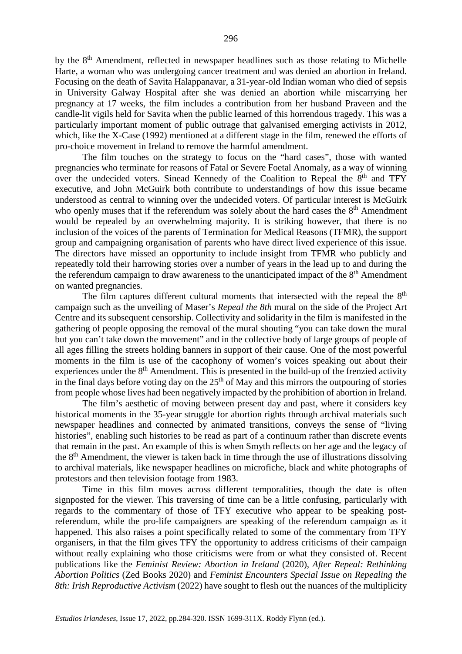by the 8th Amendment, reflected in newspaper headlines such as those relating to Michelle Harte, a woman who was undergoing cancer treatment and was denied an abortion in Ireland. Focusing on the death of Savita Halappanavar, a 31-year-old Indian woman who died of sepsis in University Galway Hospital after she was denied an abortion while miscarrying her pregnancy at 17 weeks, the film includes a contribution from her husband Praveen and the candle-lit vigils held for Savita when the public learned of this horrendous tragedy. This was a particularly important moment of public outrage that galvanised emerging activists in 2012, which, like the X-Case (1992) mentioned at a different stage in the film, renewed the efforts of pro-choice movement in Ireland to remove the harmful amendment.

The film touches on the strategy to focus on the "hard cases", those with wanted pregnancies who terminate for reasons of Fatal or Severe Foetal Anomaly, as a way of winning over the undecided voters. Sinead Kennedy of the Coalition to Repeal the 8<sup>th</sup> and TFY executive, and John McGuirk both contribute to understandings of how this issue became understood as central to winning over the undecided voters. Of particular interest is McGuirk who openly muses that if the referendum was solely about the hard cases the  $8<sup>th</sup>$  Amendment would be repealed by an overwhelming majority. It is striking however, that there is no inclusion of the voices of the parents of Termination for Medical Reasons (TFMR), the support group and campaigning organisation of parents who have direct lived experience of this issue. The directors have missed an opportunity to include insight from TFMR who publicly and repeatedly told their harrowing stories over a number of years in the lead up to and during the the referendum campaign to draw awareness to the unanticipated impact of the  $8<sup>th</sup>$  Amendment on wanted pregnancies.

The film captures different cultural moments that intersected with the repeal the 8<sup>th</sup> campaign such as the unveiling of Maser's *Repeal the 8th* mural on the side of the Project Art Centre and its subsequent censorship. Collectivity and solidarity in the film is manifested in the gathering of people opposing the removal of the mural shouting "you can take down the mural but you can't take down the movement" and in the collective body of large groups of people of all ages filling the streets holding banners in support of their cause. One of the most powerful moments in the film is use of the cacophony of women's voices speaking out about their experiences under the 8<sup>th</sup> Amendment. This is presented in the build-up of the frenzied activity in the final days before voting day on the  $25<sup>th</sup>$  of May and this mirrors the outpouring of stories from people whose lives had been negatively impacted by the prohibition of abortion in Ireland.

The film's aesthetic of moving between present day and past, where it considers key historical moments in the 35-year struggle for abortion rights through archival materials such newspaper headlines and connected by animated transitions, conveys the sense of "living histories", enabling such histories to be read as part of a continuum rather than discrete events that remain in the past. An example of this is when Smyth reflects on her age and the legacy of the 8th Amendment, the viewer is taken back in time through the use of illustrations dissolving to archival materials, like newspaper headlines on microfiche, black and white photographs of protestors and then television footage from 1983.

Time in this film moves across different temporalities, though the date is often signposted for the viewer. This traversing of time can be a little confusing, particularly with regards to the commentary of those of TFY executive who appear to be speaking postreferendum, while the pro-life campaigners are speaking of the referendum campaign as it happened. This also raises a point specifically related to some of the commentary from TFY organisers, in that the film gives TFY the opportunity to address criticisms of their campaign without really explaining who those criticisms were from or what they consisted of. Recent publications like the *Feminist Review: Abortion in Ireland* (2020), *After Repeal: Rethinking Abortion Politics* (Zed Books 2020) and *Feminist Encounters Special Issue on Repealing the 8th: Irish Reproductive Activism* (2022) have sought to flesh out the nuances of the multiplicity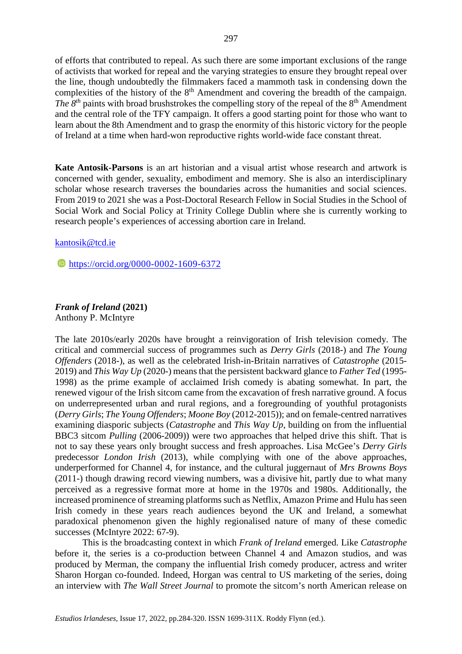of efforts that contributed to repeal. As such there are some important exclusions of the range of activists that worked for repeal and the varying strategies to ensure they brought repeal over the line, though undoubtedly the filmmakers faced a mammoth task in condensing down the complexities of the history of the 8<sup>th</sup> Amendment and covering the breadth of the campaign. *The 8<sup>th</sup>* paints with broad brushstrokes the compelling story of the repeal of the 8<sup>th</sup> Amendment and the central role of the TFY campaign. It offers a good starting point for those who want to learn about the 8th Amendment and to grasp the enormity of this historic victory for the people of Ireland at a time when hard-won reproductive rights world-wide face constant threat.

**Kate Antosik-Parsons** is an art historian and a visual artist whose research and artwork is concerned with gender, sexuality, embodiment and memory. She is also an interdisciplinary scholar whose research traverses the boundaries across the humanities and social sciences. From 2019 to 2021 she was a Post-Doctoral Research Fellow in Social Studies in the School of Social Work and Social Policy at Trinity College Dublin where she is currently working to research people's experiences of accessing abortion care in Ireland.

#### [kantosik@tcd.ie](mailto:kantosik@tcd.ie)

**<https://orcid.org/0000-0002-1609-6372>** 

*Frank of Ireland* **(2021)** Anthony P. McIntyre

The late 2010s/early 2020s have brought a reinvigoration of Irish television comedy. The critical and commercial success of programmes such as *Derry Girls* (2018-) and *The Young Offenders* (2018-), as well as the celebrated Irish-in-Britain narratives of *Catastrophe* (2015- 2019) and *This Way Up* (2020-) means that the persistent backward glance to *Father Ted* (1995- 1998) as the prime example of acclaimed Irish comedy is abating somewhat. In part, the renewed vigour of the Irish sitcom came from the excavation of fresh narrative ground. A focus on underrepresented urban and rural regions, and a foregrounding of youthful protagonists (*Derry Girls*; *The Young Offenders*; *Moone Boy* (2012-2015)); and on female-centred narratives examining diasporic subjects (*Catastrophe* and *This Way Up*, building on from the influential BBC3 sitcom *Pulling* (2006-2009)) were two approaches that helped drive this shift. That is not to say these years only brought success and fresh approaches. Lisa McGee's *Derry Girls* predecessor *London Irish* (2013), while complying with one of the above approaches, underperformed for Channel 4, for instance, and the cultural juggernaut of *Mrs Browns Boys*  (2011-) though drawing record viewing numbers, was a divisive hit, partly due to what many perceived as a regressive format more at home in the 1970s and 1980s. Additionally, the increased prominence of streaming platforms such as Netflix, Amazon Prime and Hulu has seen Irish comedy in these years reach audiences beyond the UK and Ireland, a somewhat paradoxical phenomenon given the highly regionalised nature of many of these comedic successes (McIntyre 2022: 67-9). This is the broadcasting context in which *Frank of Ireland* emerged. Like *Catastrophe*

before it, the series is a co-production between Channel 4 and Amazon studios, and was produced by Merman, the company the influential Irish comedy producer, actress and writer Sharon Horgan co-founded. Indeed, Horgan was central to US marketing of the series, doing an interview with *The Wall Street Journal* to promote the sitcom's north American release on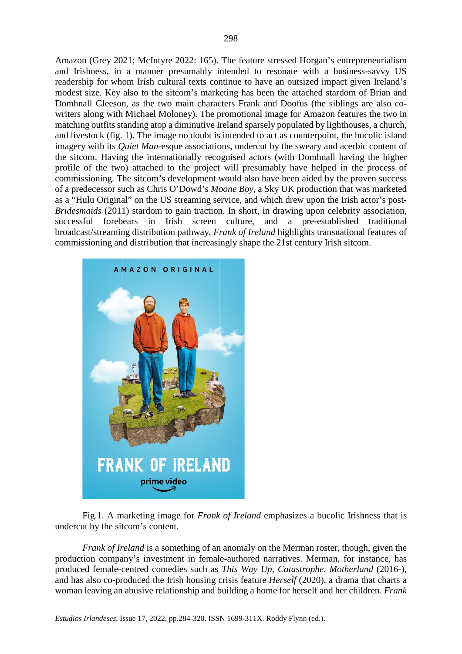Amazon (Grey 2021; McIntyre 2022: 165). The feature stressed Horgan's entrepreneurialism and Irishness, in a manner presumably intended to resonate with a business-savvy US readership for whom Irish cultural texts continue to have an outsized impact given Ireland's modest size. Key also to the sitcom's marketing has been the attached stardom of Brian and Domhnall Gleeson, as the two main characters Frank and Doofus (the siblings are also cowriters along with Michael Moloney). The promotional image for Amazon features the two in matching outfits standing atop a diminutive Ireland sparsely populated by lighthouses, a church, and livestock (fig. 1). The image no doubt is intended to act as counterpoint, the bucolic island imagery with its *Quiet Man*-esque associations, undercut by the sweary and acerbic content of the sitcom. Having the internationally recognised actors (with Domhnall having the higher profile of the two) attached to the project will presumably have helped in the process of commissioning. The sitcom's development would also have been aided by the proven success of a predecessor such as Chris O'Dowd's *Moone Boy*, a Sky UK production that was marketed as a "Hulu Original" on the US streaming service, and which drew upon the Irish actor's post-*Bridesmaids* (2011) stardom to gain traction. In short, in drawing upon celebrity association, successful forebears in Irish screen culture, and a pre-established traditional broadcast/streaming distribution pathway, *Frank of Ireland* highlights transnational features of commissioning and distribution that increasingly shape the 21st century Irish sitcom.



Fig.1. A marketing image for *Frank of Ireland* emphasizes a bucolic Irishness that is undercut by the sitcom's content.

*Frank of Ireland* is a something of an anomaly on the Merman roster, though, given the production company's investment in female-authored narratives. Merman, for instance, has produced female-centred comedies such as *This Way Up*, *Catastrophe*, *Motherland* (2016-), and has also co-produced the Irish housing crisis feature *Herself* (2020), a drama that charts a woman leaving an abusive relationship and building a home for herself and her children. *Frank*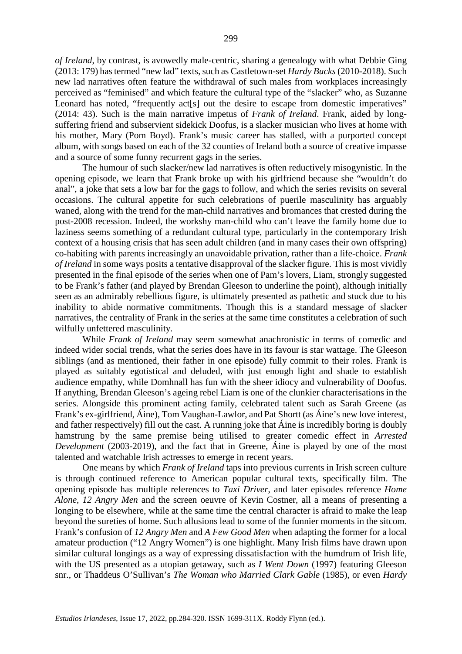*of Ireland*, by contrast, is avowedly male-centric, sharing a genealogy with what Debbie Ging (2013: 179) has termed "new lad" texts, such as Castletown-set *Hardy Bucks*(2010-2018). Such new lad narratives often feature the withdrawal of such males from workplaces increasingly perceived as "feminised" and which feature the cultural type of the "slacker" who, as Suzanne Leonard has noted, "frequently act<sup>[s]</sup> out the desire to escape from domestic imperatives" (2014: 43). Such is the main narrative impetus of *Frank of Ireland*. Frank, aided by longsuffering friend and subservient sidekick Doofus, is a slacker musician who lives at home with his mother, Mary (Pom Boyd). Frank's music career has stalled, with a purported concept album, with songs based on each of the 32 counties of Ireland both a source of creative impasse and a source of some funny recurrent gags in the series.

The humour of such slacker/new lad narratives is often reductively misogynistic. In the opening episode, we learn that Frank broke up with his girlfriend because she "wouldn't do anal", a joke that sets a low bar for the gags to follow, and which the series revisits on several occasions. The cultural appetite for such celebrations of puerile masculinity has arguably waned, along with the trend for the man-child narratives and bromances that crested during the post-2008 recession. Indeed, the workshy man-child who can't leave the family home due to laziness seems something of a redundant cultural type, particularly in the contemporary Irish context of a housing crisis that has seen adult children (and in many cases their own offspring) co-habiting with parents increasingly an unavoidable privation, rather than a life-choice. *Frank of Ireland* in some ways posits a tentative disapproval of the slacker figure. This is most vividly presented in the final episode of the series when one of Pam's lovers, Liam, strongly suggested to be Frank's father (and played by Brendan Gleeson to underline the point), although initially seen as an admirably rebellious figure, is ultimately presented as pathetic and stuck due to his inability to abide normative commitments. Though this is a standard message of slacker narratives, the centrality of Frank in the series at the same time constitutes a celebration of such wilfully unfettered masculinity.

While *Frank of Ireland* may seem somewhat anachronistic in terms of comedic and indeed wider social trends, what the series does have in its favour is star wattage. The Gleeson siblings (and as mentioned, their father in one episode) fully commit to their roles. Frank is played as suitably egotistical and deluded, with just enough light and shade to establish audience empathy, while Domhnall has fun with the sheer idiocy and vulnerability of Doofus. If anything, Brendan Gleeson's ageing rebel Liam is one of the clunkier characterisations in the series. Alongside this prominent acting family, celebrated talent such as Sarah Greene (as Frank's ex-girlfriend, Áine), Tom Vaughan-Lawlor, and Pat Shortt (as Áine's new love interest, and father respectively) fill out the cast. A running joke that Áine is incredibly boring is doubly hamstrung by the same premise being utilised to greater comedic effect in *Arrested Development* (2003-2019), and the fact that in Greene, Áine is played by one of the most talented and watchable Irish actresses to emerge in recent years.

One means by which *Frank of Ireland* taps into previous currents in Irish screen culture is through continued reference to American popular cultural texts, specifically film. The opening episode has multiple references to *Taxi Driver*, and later episodes reference *Home Alone*, *12 Angry Men* and the screen oeuvre of Kevin Costner, all a means of presenting a longing to be elsewhere, while at the same time the central character is afraid to make the leap beyond the sureties of home. Such allusions lead to some of the funnier moments in the sitcom. Frank's confusion of *12 Angry Men* and *A Few Good Men* when adapting the former for a local amateur production ("12 Angry Women") is one highlight. Many Irish films have drawn upon similar cultural longings as a way of expressing dissatisfaction with the humdrum of Irish life, with the US presented as a utopian getaway, such as *I Went Down* (1997) featuring Gleeson snr., or Thaddeus O'Sullivan's *The Woman who Married Clark Gable* (1985), or even *Hardy*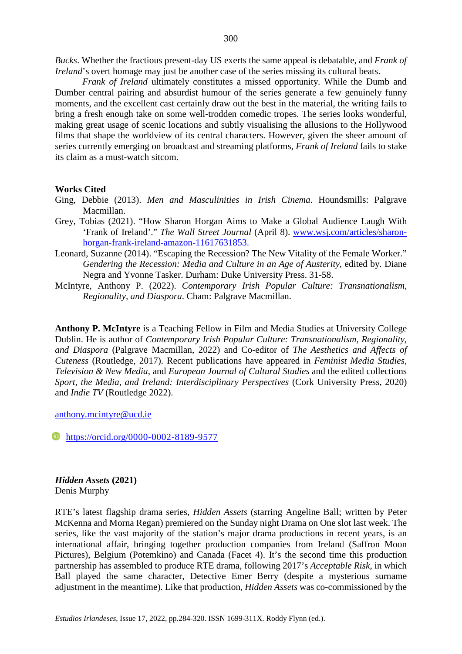*Bucks*. Whether the fractious present-day US exerts the same appeal is debatable, and *Frank of Ireland*'s overt homage may just be another case of the series missing its cultural beats.

*Frank of Ireland* ultimately constitutes a missed opportunity. While the Dumb and Dumber central pairing and absurdist humour of the series generate a few genuinely funny moments, and the excellent cast certainly draw out the best in the material, the writing fails to bring a fresh enough take on some well-trodden comedic tropes. The series looks wonderful, making great usage of scenic locations and subtly visualising the allusions to the Hollywood films that shape the worldview of its central characters. However, given the sheer amount of series currently emerging on broadcast and streaming platforms, *Frank of Ireland* fails to stake its claim as a must-watch sitcom.

#### **Works Cited**

- Ging, Debbie (2013). *Men and Masculinities in Irish Cinema*. Houndsmills: Palgrave Macmillan.
- Grey, Tobias (2021). "How Sharon Horgan Aims to Make a Global Audience Laugh With 'Frank of Ireland'." *The Wall Street Journal* (April 8). [www.wsj.com/articles/sharon](http://www.wsj.com/articles/sharon-horgan-frank-ireland-amazon-11617631853)[horgan-frank-ireland-amazon-11617631853.](http://www.wsj.com/articles/sharon-horgan-frank-ireland-amazon-11617631853)
- Leonard, Suzanne (2014). "Escaping the Recession? The New Vitality of the Female Worker." *Gendering the Recession: Media and Culture in an Age of Austerity*, edited by. Diane Negra and Yvonne Tasker. Durham: Duke University Press. 31-58.
- McIntyre, Anthony P. (2022). *Contemporary Irish Popular Culture: Transnationalism, Regionality, and Diaspora*. Cham: Palgrave Macmillan.

**Anthony P. McIntyre** is a Teaching Fellow in Film and Media Studies at University College Dublin. He is author of *Contemporary Irish Popular Culture: Transnationalism, Regionality, and Diaspora* (Palgrave Macmillan, 2022) and Co-editor of *The Aesthetics and Affects of Cuteness* (Routledge, 2017). Recent publications have appeared in *Feminist Media Studies*, *Television & New Media*, and *European Journal of Cultural Studies* and the edited collections *Sport, the Media, and Ireland: Interdisciplinary Perspectives (Cork University Press, 2020)* and *Indie TV* (Routledge 2022).

[anthony.mcintyre@ucd.ie](mailto:anthony.mcintyre@ucd.ie)

**<https://orcid.org/0000-0002-8189-9577>** 

*Hidden Assets* **(2021)** Denis Murphy

RTE's latest flagship drama series, *Hidden Assets* (starring Angeline Ball; written by Peter McKenna and Morna Regan) premiered on the Sunday night Drama on One slot last week. The series, like the vast majority of the station's major drama productions in recent years, is an international affair, bringing together production companies from Ireland (Saffron Moon Pictures), Belgium (Potemkino) and Canada (Facet 4). It's the second time this production partnership has assembled to produce RTE drama, following 2017's *Acceptable Risk*, in which Ball played the same character, Detective Emer Berry (despite a mysterious surname adjustment in the meantime). Like that production, *Hidden Assets* was co-commissioned by the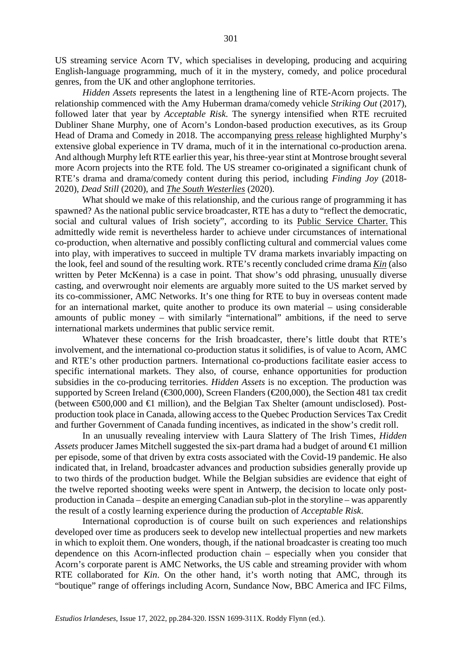US streaming service Acorn TV, which specialises in developing, producing and acquiring English-language programming, much of it in the mystery, comedy, and police procedural genres, from the UK and other anglophone territories.

*Hidden Assets* represents the latest in a lengthening line of RTE-Acorn projects. The relationship commenced with the Amy Huberman drama/comedy vehicle *Striking Out* (2017), followed later that year by *Acceptable Risk*. The synergy intensified when RTE recruited Dubliner Shane Murphy, one of Acorn's London-based production executives, as its Group Head of Drama and Comedy in 2018. The accompanying [press release](https://presspack.rte.ie/2018/06/11/shane-murphy-appointed-head-of-drama-and-comedy-rte/) highlighted Murphy's extensive global experience in TV drama, much of it in the international co-production arena. And although Murphy left RTE earlier this year, his three-year stint at Montrose brought several more Acorn projects into the RTE fold. The US streamer co-originated a significant chunk of RTE's drama and drama/comedy content during this period, including *Finding Joy* (2018- 2020), *Dead Still* (2020), and *[The South Westerlies](https://irish-screen.com/2020/09/08/the-south-westerlies-rte/)* (2020).

What should we make of this relationship, and the curious range of programming it has spawned? As the national public service broadcaster, RTE has a duty to "reflect the democratic, social and cultural values of Irish society", according to its [Public Service Charter.](https://www.rte.ie/documents/about/public-service-broadcasting-charter.pdf) This admittedly wide remit is nevertheless harder to achieve under circumstances of international co-production, when alternative and possibly conflicting cultural and commercial values come into play, with imperatives to succeed in multiple TV drama markets invariably impacting on the look, feel and sound of the resulting work. RTE's recently concluded crime drama *[Kin](https://deadline.com/2020/11/aidan-gillen-charlie-cox-irish-drama-kin-from-bron-studios-headline-pictures-rte-1234610144/)* (also written by Peter McKenna) is a case in point. That show's odd phrasing, unusually diverse casting, and overwrought noir elements are arguably more suited to the US market served by its co-commissioner, AMC Networks. It's one thing for RTE to buy in overseas content made for an international market, quite another to produce its own material – using considerable amounts of public money – with similarly "international" ambitions, if the need to serve international markets undermines that public service remit.

Whatever these concerns for the Irish broadcaster, there's little doubt that RTE's involvement, and the international co-production status it solidifies, is of value to Acorn, AMC and RTE's other production partners. International co-productions facilitate easier access to specific international markets. They also, of course, enhance opportunities for production subsidies in the co-producing territories. *Hidden Assets* is no exception. The production was supported by Screen Ireland (€300,000), Screen Flanders (€200,000), the Section 481 tax credit (between €500,000 and €1 million), and the Belgian Tax Shelter (amount undisclosed). Postproduction took place in Canada, allowing access to the Quebec Production Services Tax Credit and further Government of Canada funding incentives, as indicated in the show's credit roll.

In an unusually revealing interview with Laura Slattery of The Irish Times, *Hidden Assets* producer James Mitchell suggested the six-part drama had a budget of around  $\bigoplus$  million per episode, some of that driven by extra costs associated with the Covid-19 pandemic. He also indicated that, in Ireland, broadcaster advances and production subsidies generally provide up to two thirds of the production budget. While the Belgian subsidies are evidence that eight of the twelve reported shooting weeks were spent in Antwerp, the decision to locate only postproduction in Canada – despite an emerging Canadian sub-plot in the storyline – was apparently the result of a costly learning experience during the production of *Acceptable Risk*.

International coproduction is of course built on such experiences and relationships developed over time as producers seek to develop new intellectual properties and new markets in which to exploit them. One wonders, though, if the national broadcaster is creating too much dependence on this Acorn-inflected production chain – especially when you consider that Acorn's corporate parent is AMC Networks, the US cable and streaming provider with whom RTE collaborated for *Kin*. On the other hand, it's worth noting that AMC, through its "boutique" range of offerings including Acorn, Sundance Now, BBC America and IFC Films,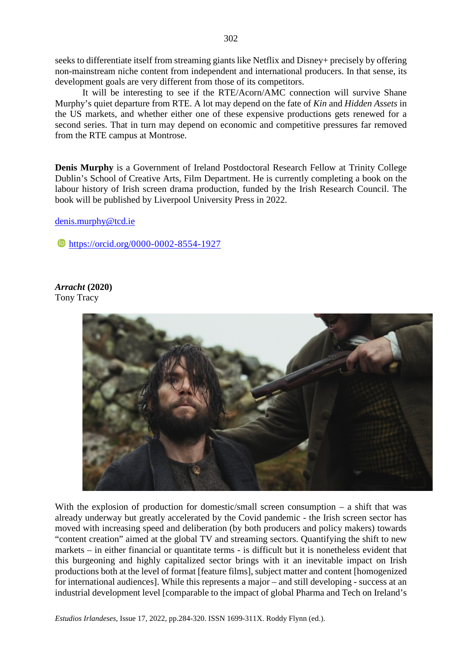seeks to differentiate itself from streaming giants like Netflix and Disney+ precisely by offering non-mainstream niche content from independent and international producers. In that sense, its development goals are very different from those of its competitors.

It will be interesting to see if the RTE/Acorn/AMC connection will survive Shane Murphy's quiet departure from RTE. A lot may depend on the fate of *Kin* and *Hidden Assets* in the US markets, and whether either one of these expensive productions gets renewed for a second series. That in turn may depend on economic and competitive pressures far removed from the RTE campus at Montrose.

**Denis Murphy** is a Government of Ireland Postdoctoral Research Fellow at Trinity College Dublin's School of Creative Arts, Film Department. He is currently completing a book on the labour history of Irish screen drama production, funded by the Irish Research Council. The book will be published by Liverpool University Press in 2022.

[denis.murphy@tcd.ie](mailto:denis.murphy@tcd.ie)

**f** <https://orcid.org/0000-0002-8554-1927>

*Arracht* **(2020)** Tony Tracy



With the explosion of production for domestic/small screen consumption – a shift that was already underway but greatly accelerated by the Covid pandemic - the Irish screen sector has moved with increasing speed and deliberation (by both producers and policy makers) towards "content creation" aimed at the global TV and streaming sectors. Quantifying the shift to new markets – in either financial or quantitate terms - is difficult but it is nonetheless evident that this burgeoning and highly capitalized sector brings with it an inevitable impact on Irish productions both at the level of format [feature films], subject matter and content [homogenized for international audiences]. While this represents a major – and still developing - success at an industrial development level [comparable to the impact of global Pharma and Tech on Ireland's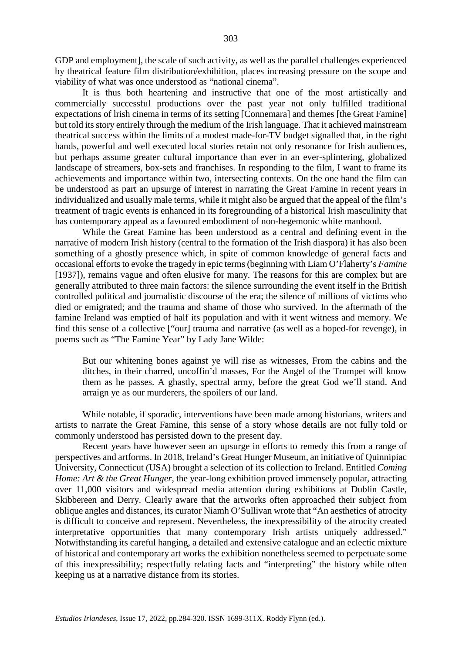GDP and employment], the scale of such activity, as well as the parallel challenges experienced by theatrical feature film distribution/exhibition, places increasing pressure on the scope and viability of what was once understood as "national cinema".

It is thus both heartening and instructive that one of the most artistically and commercially successful productions over the past year not only fulfilled traditional expectations of lrish cinema in terms of its setting [Connemara] and themes [the Great Famine] but told its story entirely through the medium of the Irish language. That it achieved mainstream theatrical success within the limits of a modest made-for-TV budget signalled that, in the right hands, powerful and well executed local stories retain not only resonance for Irish audiences, but perhaps assume greater cultural importance than ever in an ever-splintering, globalized landscape of streamers, box-sets and franchises. In responding to the film, I want to frame its achievements and importance within two, intersecting contexts. On the one hand the film can be understood as part an upsurge of interest in narrating the Great Famine in recent years in individualized and usually male terms, while it might also be argued that the appeal of the film's treatment of tragic events is enhanced in its foregrounding of a historical Irish masculinity that has contemporary appeal as a favoured embodiment of non-hegemonic white manhood.

While the Great Famine has been understood as a central and defining event in the narrative of modern Irish history (central to the formation of the Irish diaspora) it has also been something of a ghostly presence which, in spite of common knowledge of general facts and occasional efforts to evoke the tragedy in epic terms (beginning with Liam O'Flaherty's *Famine*  [1937]), remains vague and often elusive for many. The reasons for this are complex but are generally attributed to three main factors: the silence surrounding the event itself in the British controlled political and journalistic discourse of the era; the silence of millions of victims who died or emigrated; and the trauma and shame of those who survived. In the aftermath of the famine Ireland was emptied of half its population and with it went witness and memory. We find this sense of a collective ["our] trauma and narrative (as well as a hoped-for revenge), in poems such as "The Famine Year" by Lady Jane Wilde:

But our whitening bones against ye will rise as witnesses, From the cabins and the ditches, in their charred, uncoffin'd masses, For the Angel of the Trumpet will know them as he passes. A ghastly, spectral army, before the great God we'll stand. And arraign ye as our murderers, the spoilers of our land.

While notable, if sporadic, interventions have been made among historians, writers and artists to narrate the Great Famine, this sense of a story whose details are not fully told or commonly understood has persisted down to the present day.

Recent years have however seen an upsurge in efforts to remedy this from a range of perspectives and artforms. In 2018, Ireland's Great Hunger Museum, an initiative of Quinnipiac University, Connecticut (USA) brought a selection of its collection to Ireland. Entitled *Coming Home: Art & the Great Hunger*, the year-long exhibition proved immensely popular, attracting over 11,000 visitors and widespread media attention during exhibitions at Dublin Castle, Skibbereen and Derry. Clearly aware that the artworks often approached their subject from oblique angles and distances, its curator Niamh O'Sullivan wrote that "An aesthetics of atrocity is difficult to conceive and represent. Nevertheless, the inexpressibility of the atrocity created interpretative opportunities that many contemporary Irish artists uniquely addressed." Notwithstanding its careful hanging, a detailed and extensive catalogue and an eclectic mixture of historical and contemporary art works the exhibition nonetheless seemed to perpetuate some of this inexpressibility; respectfully relating facts and "interpreting" the history while often keeping us at a narrative distance from its stories.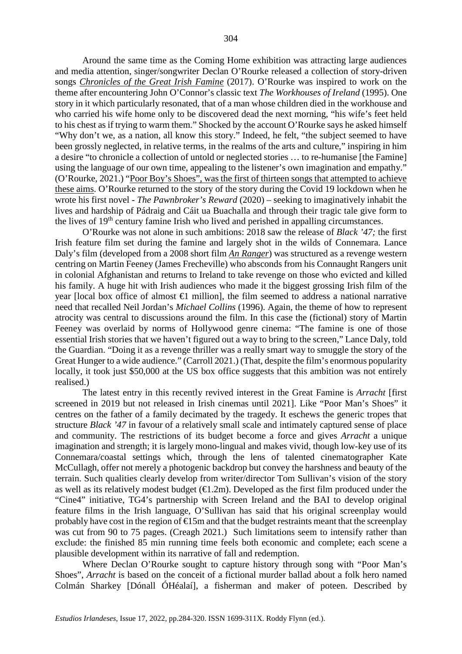Around the same time as the Coming Home exhibition was attracting large audiences and media attention, singer/songwriter Declan O'Rourke released a collection of story-driven songs *[Chronicles of the Great Irish Famine](https://claddaghrecords.com/products/cd-declan-orourke-chronicles-of-the-great-irish-famine?variant=39627285987523¤cy=EUR&utm_medium=product_sync&utm_source=google&utm_content=sag_organic&utm_campaign=sag_organic&gclid=EAIaIQobChMImfqpwri79QIVAe7tCh0StQhCEAQYAiABEgLo9_D_BwE)* (2017). O'Rourke was inspired to work on the theme after encountering John O'Connor's classic text *The Workhouses of Ireland* (1995). One story in it which particularly resonated, that of a man whose children died in the workhouse and who carried his wife home only to be discovered dead the next morning, "his wife's feet held to his chest as if trying to warm them." Shocked by the account O'Rourke says he asked himself "Why don't we, as a nation, all know this story." Indeed, he felt, "the subject seemed to have been grossly neglected, in relative terms, in the realms of the arts and culture," inspiring in him a desire "to chronicle a collection of untold or neglected stories … to re-humanise [the Famine] using the language of our own time, appealing to the listener's own imagination and empathy." (O'Rourke, 2021.) ["Poor Boy's Shoes",](https://www.youtube.com/watch?v=jzTV7VJEwO0) was the first of thirteen songs that attempted to achieve these aims. O'Rourke returned to the story of the story during the Covid 19 lockdown when he wrote his first novel - *The Pawnbroker's Reward* (2020) – seeking to imaginatively inhabit the lives and hardship of Pádraig and Cáit ua Buachalla and through their tragic tale give form to the lives of  $19<sup>th</sup>$  century famine Irish who lived and perished in appalling circumstances.

O'Rourke was not alone in such ambitions: 2018 saw the release of *Black '47;* the first Irish feature film set during the famine and largely shot in the wilds of Connemara. Lance Daly's film (developed from a 2008 short film *[An Ranger](https://www.youtube.com/watch?v=NWv2d-v96DY)*) was structured as a revenge western centring on Martin Feeney (James Frecheville) who absconds from his Connaught Rangers unit in colonial Afghanistan and returns to Ireland to take revenge on those who evicted and killed his family. A huge hit with Irish audiences who made it the biggest grossing Irish film of the year [local box office of almost  $\bigoplus$  million], the film seemed to address a national narrative need that recalled Neil Jordan's *Michael Collins* (1996). Again, the theme of how to represent atrocity was central to discussions around the film. In this case the (fictional) story of Martin Feeney was overlaid by norms of Hollywood genre cinema: "The famine is one of those essential Irish stories that we haven't figured out a way to bring to the screen," Lance Daly, told the Guardian. "Doing it as a revenge thriller was a really smart way to smuggle the story of the Great Hunger to a wide audience." (Carroll 2021.) (That, despite the film's enormous popularity locally, it took just \$50,000 at the US box office suggests that this ambition was not entirely realised.)

The latest entry in this recently revived interest in the Great Famine is *Arracht* [first screened in 2019 but not released in Irish cinemas until 2021]. Like "Poor Man's Shoes" it centres on the father of a family decimated by the tragedy. It eschews the generic tropes that structure *Black '47* in favour of a relatively small scale and intimately captured sense of place and community. The restrictions of its budget become a force and gives *Arracht* a unique imagination and strength; it is largely mono-lingual and makes vivid, though low-key use of its Connemara/coastal settings which, through the lens of talented cinematographer Kate McCullagh, offer not merely a photogenic backdrop but convey the harshness and beauty of the terrain. Such qualities clearly develop from writer/director Tom Sullivan's vision of the story as well as its relatively modest budget  $(\text{E.2m})$ . Developed as the first film produced under the "Cine4" initiative, TG4's partnership with Screen Ireland and the BAI to develop original feature films in the Irish language, O'Sullivan has said that his original screenplay would probably have cost in the region of  $\bigoplus$  5m and that the budget restraints meant that the screenplay was cut from 90 to 75 pages. (Creagh 2021.) Such limitations seem to intensify rather than exclude: the finished 85 min running time feels both economic and complete; each scene a plausible development within its narrative of fall and redemption.

Where Declan O'Rourke sought to capture history through song with "Poor Man's Shoes", *Arracht* is based on the conceit of a fictional murder ballad about a folk hero named Colmán Sharkey [Dónall ÓHéalaí], a fisherman and maker of poteen. Described by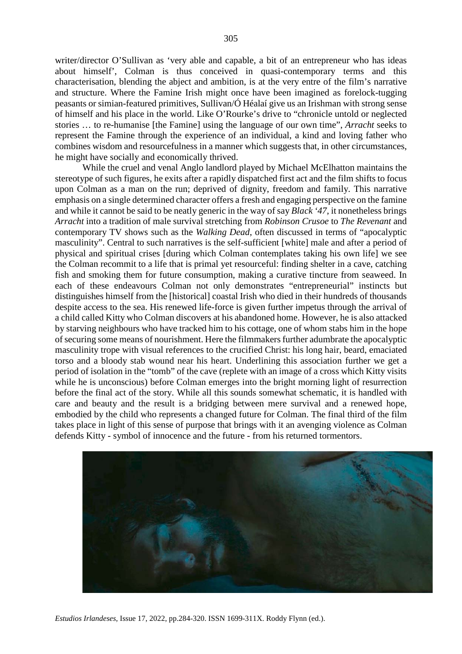writer/director O'Sullivan as 'very able and capable, a bit of an entrepreneur who has ideas about himself', Colman is thus conceived in quasi-contemporary terms and this characterisation, blending the abject and ambition, is at the very entre of the film's narrative and structure. Where the Famine Irish might once have been imagined as forelock-tugging peasants or simian-featured primitives, Sullivan/Ó Héalaí give us an Irishman with strong sense of himself and his place in the world. Like O'Rourke's drive to "chronicle untold or neglected stories … to re-humanise [the Famine] using the language of our own time", *Arracht* seeks to represent the Famine through the experience of an individual, a kind and loving father who combines wisdom and resourcefulness in a manner which suggests that, in other circumstances, he might have socially and economically thrived.

While the cruel and venal Anglo landlord played by Michael McElhatton maintains the stereotype of such figures, he exits after a rapidly dispatched first act and the film shifts to focus upon Colman as a man on the run; deprived of dignity, freedom and family. This narrative emphasis on a single determined character offers a fresh and engaging perspective on the famine and while it cannot be said to be neatly generic in the way of say *Black '47*, it nonetheless brings *Arracht* into a tradition of male survival stretching from *Robinson Crusoe* to *The Revenant* and contemporary TV shows such as the *Walking Dead*, often discussed in terms of "apocalyptic masculinity". Central to such narratives is the self-sufficient [white] male and after a period of physical and spiritual crises [during which Colman contemplates taking his own life] we see the Colman recommit to a life that is primal yet resourceful: finding shelter in a cave, catching fish and smoking them for future consumption, making a curative tincture from seaweed. In each of these endeavours Colman not only demonstrates "entrepreneurial" instincts but distinguishes himself from the [historical] coastal Irish who died in their hundreds of thousands despite access to the sea. His renewed life-force is given further impetus through the arrival of a child called Kitty who Colman discovers at his abandoned home. However, he is also attacked by starving neighbours who have tracked him to his cottage, one of whom stabs him in the hope of securing some means of nourishment. Here the filmmakers further adumbrate the apocalyptic masculinity trope with visual references to the crucified Christ: his long hair, beard, emaciated torso and a bloody stab wound near his heart. Underlining this association further we get a period of isolation in the "tomb" of the cave (replete with an image of a cross which Kitty visits while he is unconscious) before Colman emerges into the bright morning light of resurrection before the final act of the story. While all this sounds somewhat schematic, it is handled with care and beauty and the result is a bridging between mere survival and a renewed hope, embodied by the child who represents a changed future for Colman. The final third of the film takes place in light of this sense of purpose that brings with it an avenging violence as Colman defends Kitty - symbol of innocence and the future - from his returned tormentors.

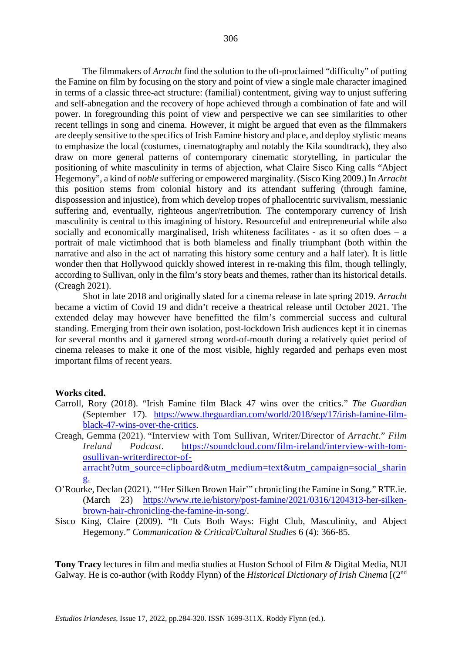The filmmakers of *Arracht* find the solution to the oft-proclaimed "difficulty" of putting the Famine on film by focusing on the story and point of view a single male character imagined in terms of a classic three-act structure: (familial) contentment, giving way to unjust suffering and self-abnegation and the recovery of hope achieved through a combination of fate and will power. In foregrounding this point of view and perspective we can see similarities to other recent tellings in song and cinema. However, it might be argued that even as the filmmakers are deeply sensitive to the specifics of Irish Famine history and place, and deploy stylistic means to emphasize the local (costumes, cinematography and notably the Kila soundtrack), they also draw on more general patterns of contemporary cinematic storytelling, in particular the positioning of white masculinity in terms of abjection, what Claire Sisco King calls "Abject Hegemony", a kind of *noble* suffering or empowered marginality. (Sisco King 2009.) In *Arracht*  this position stems from colonial history and its attendant suffering (through famine, dispossession and injustice), from which develop tropes of phallocentric survivalism, messianic suffering and, eventually, righteous anger/retribution. The contemporary currency of Irish masculinity is central to this imagining of history. Resourceful and entrepreneurial while also socially and economically marginalised, Irish whiteness facilitates - as it so often does – a portrait of male victimhood that is both blameless and finally triumphant (both within the narrative and also in the act of narrating this history some century and a half later). It is little wonder then that Hollywood quickly showed interest in re-making this film, though tellingly, according to Sullivan, only in the film's story beats and themes, rather than its historical details. (Creagh 2021).

Shot in late 2018 and originally slated for a cinema release in late spring 2019. *Arracht*  became a victim of Covid 19 and didn't receive a theatrical release until October 2021. The extended delay may however have benefitted the film's commercial success and cultural standing. Emerging from their own isolation, post-lockdown Irish audiences kept it in cinemas for several months and it garnered strong word-of-mouth during a relatively quiet period of cinema releases to make it one of the most visible, highly regarded and perhaps even most important films of recent years.

#### **Works cited.**

- Carroll, Rory (2018). "Irish Famine film Black 47 wins over the critics." *The Guardian* (September 17). [https://www.theguardian.com/world/2018/sep/17/irish-famine-film](https://www.theguardian.com/world/2018/sep/17/irish-famine-film-black-47-wins-over-the-critics)[black-47-wins-over-the-critics.](https://www.theguardian.com/world/2018/sep/17/irish-famine-film-black-47-wins-over-the-critics)
- Creagh, Gemma (2021). "Interview with Tom Sullivan, Writer/Director of *Arracht*." *Film Ireland Podcast*. [https://soundcloud.com/film-ireland/interview-with-tom](https://soundcloud.com/film-ireland/interview-with-tom-osullivan-writerdirector-of-arracht?utm_source=clipboard&utm_medium=text&utm_campaign=social_sharing)[osullivan-writerdirector-of](https://soundcloud.com/film-ireland/interview-with-tom-osullivan-writerdirector-of-arracht?utm_source=clipboard&utm_medium=text&utm_campaign=social_sharing)[arracht?utm\\_source=clipboard&utm\\_medium=text&utm\\_campaign=social\\_sharin](https://soundcloud.com/film-ireland/interview-with-tom-osullivan-writerdirector-of-arracht?utm_source=clipboard&utm_medium=text&utm_campaign=social_sharing) [g.](https://soundcloud.com/film-ireland/interview-with-tom-osullivan-writerdirector-of-arracht?utm_source=clipboard&utm_medium=text&utm_campaign=social_sharing)
- O'Rourke, Declan (2021). "'Her Silken Brown Hair'" chronicling the Famine in Song." RTE.ie. (March 23) [https://www.rte.ie/history/post-famine/2021/0316/1204313-her-silken](https://www.rte.ie/history/post-famine/2021/0316/1204313-her-silken-brown-hair-chronicling-the-famine-in-song/)[brown-hair-chronicling-the-famine-in-song/.](https://www.rte.ie/history/post-famine/2021/0316/1204313-her-silken-brown-hair-chronicling-the-famine-in-song/)
- Sisco King, Claire (2009). "It Cuts Both Ways: Fight Club, Masculinity, and Abject Hegemony." *Communication & Critical/Cultural Studies* 6 (4): 366-85.

**Tony Tracy** lectures in film and media studies at Huston School of Film & Digital Media, NUI Galway. He is co-author (with Roddy Flynn) of the *Historical Dictionary of Irish Cinema* [(2nd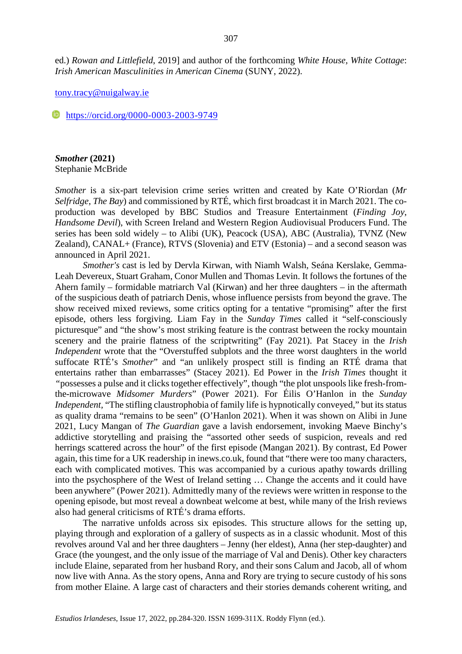ed.) *Rowan and Littlefield*, 2019] and author of the forthcoming *White House, White Cottage*: *Irish American Masculinities in American Cinema* (SUNY, 2022).

[tony.tracy@nuigalway.ie](mailto:tony.tracy@nuigalway.ie)

**<https://orcid.org/0000-0003-2003-9749>** 

*Smother* **(2021)**  Stephanie McBride

*Smother* is a six-part television crime series written and created by Kate O'Riordan (*Mr Selfridge*, *The Bay*) and commissioned by RTÉ, which first broadcast it in March 2021. The coproduction was developed by BBC Studios and Treasure Entertainment (*Finding Joy*, *Handsome Devil*), with Screen Ireland and Western Region Audiovisual Producers Fund. The series has been sold widely – to Alibi (UK), Peacock (USA), ABC (Australia), TVNZ (New Zealand), CANAL+ (France), RTVS (Slovenia) and ETV (Estonia) – and a second season was announced in April 2021.

*Smother's* cast is led by Dervla Kirwan, with Niamh Walsh, Seána Kerslake, Gemma-Leah Devereux, Stuart Graham, Conor Mullen and Thomas Levin. It follows the fortunes of the Ahern family – formidable matriarch Val (Kirwan) and her three daughters – in the aftermath of the suspicious death of patriarch Denis, whose influence persists from beyond the grave. The show received mixed reviews, some critics opting for a tentative "promising" after the first episode, others less forgiving. Liam Fay in the *Sunday Times* called it "self-consciously picturesque" and "the show's most striking feature is the contrast between the rocky mountain scenery and the prairie flatness of the scriptwriting" (Fay 2021). Pat Stacey in the *Irish Independent* wrote that the "Overstuffed subplots and the three worst daughters in the world suffocate RTÉ's *Smother*" and "an unlikely prospect still is finding an RTÉ drama that entertains rather than embarrasses" (Stacey 2021). Ed Power in the *Irish Times* thought it *"*possesses a pulse and it clicks together effectively", though "the plot unspools like fresh-fromthe-microwave *Midsomer Murders*" (Power 2021). For Éilis O'Hanlon in the *Sunday Independent,* "The stifling claustrophobia of family life is hypnotically conveyed," but its status as quality drama "remains to be seen" (O'Hanlon 2021). When it was shown on Alibi in June 2021, Lucy Mangan of *The Guardian* gave a lavish endorsement, invoking Maeve Binchy's addictive storytelling and praising the "assorted other seeds of suspicion, reveals and red herrings scattered across the hour" of the first episode (Mangan 2021). By contrast, Ed Power again, this time for a UK readership in inews.co.uk, found that "there were too many characters, each with complicated motives. This was accompanied by a curious apathy towards drilling into the psychosphere of the West of Ireland setting … Change the accents and it could have been anywhere" (Power 2021). Admittedly many of the reviews were written in response to the opening episode, but most reveal a downbeat welcome at best, while many of the Irish reviews also had general criticisms of RTÉ's drama efforts.

The narrative unfolds across six episodes. This structure allows for the setting up, playing through and exploration of a gallery of suspects as in a classic whodunit. Most of this revolves around Val and her three daughters – Jenny (her eldest), Anna (her step-daughter) and Grace (the youngest, and the only issue of the marriage of Val and Denis). Other key characters include Elaine, separated from her husband Rory, and their sons Calum and Jacob, all of whom now live with Anna. As the story opens, Anna and Rory are trying to secure custody of his sons from mother Elaine. A large cast of characters and their stories demands coherent writing, and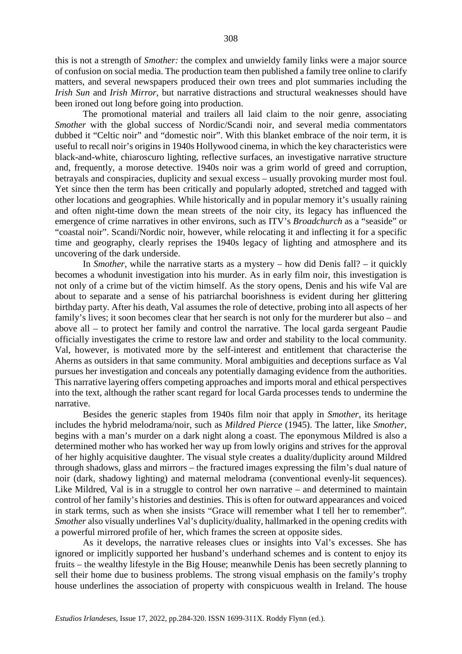this is not a strength of *Smother:* the complex and unwieldy family links were a major source of confusion on social media. The production team then published a family tree online to clarify matters, and several newspapers produced their own trees and plot summaries including the *Irish Sun* and *Irish Mirror*, but narrative distractions and structural weaknesses should have been ironed out long before going into production.

The promotional material and trailers all laid claim to the noir genre, associating *Smother* with the global success of Nordic/Scandi noir, and several media commentators dubbed it "Celtic noir" and "domestic noir". With this blanket embrace of the noir term, it is useful to recall noir's origins in 1940s Hollywood cinema, in which the key characteristics were black-and-white, chiaroscuro lighting, reflective surfaces, an investigative narrative structure and, frequently, a morose detective. 1940s noir was a grim world of greed and corruption, betrayals and conspiracies, duplicity and sexual excess – usually provoking murder most foul. Yet since then the term has been critically and popularly adopted, stretched and tagged with other locations and geographies. While historically and in popular memory it's usually raining and often night-time down the mean streets of the noir city, its legacy has influenced the emergence of crime narratives in other environs, such as ITV's *Broadchurch* as a "seaside" or "coastal noir". Scandi/Nordic noir, however, while relocating it and inflecting it for a specific time and geography, clearly reprises the 1940s legacy of lighting and atmosphere and its uncovering of the dark underside.

In *Smother*, while the narrative starts as a mystery – how did Denis fall? – it quickly becomes a whodunit investigation into his murder. As in early film noir, this investigation is not only of a crime but of the victim himself. As the story opens, Denis and his wife Val are about to separate and a sense of his patriarchal boorishness is evident during her glittering birthday party. After his death, Val assumes the role of detective, probing into all aspects of her family's lives; it soon becomes clear that her search is not only for the murderer but also – and above all – to protect her family and control the narrative. The local garda sergeant Paudie officially investigates the crime to restore law and order and stability to the local community. Val, however, is motivated more by the self-interest and entitlement that characterise the Aherns as outsiders in that same community. Moral ambiguities and deceptions surface as Val pursues her investigation and conceals any potentially damaging evidence from the authorities. This narrative layering offers competing approaches and imports moral and ethical perspectives into the text, although the rather scant regard for local Garda processes tends to undermine the narrative.

Besides the generic staples from 1940s film noir that apply in *Smother,* its heritage includes the hybrid melodrama/noir, such as *Mildred Pierce* (1945). The latter, like *Smother*, begins with a man's murder on a dark night along a coast. The eponymous Mildred is also a determined mother who has worked her way up from lowly origins and strives for the approval of her highly acquisitive daughter. The visual style creates a duality/duplicity around Mildred through shadows, glass and mirrors – the fractured images expressing the film's dual nature of noir (dark, shadowy lighting) and maternal melodrama (conventional evenly-lit sequences). Like Mildred. Val is in a struggle to control her own narrative – and determined to maintain control of her family's histories and destinies. This is often for outward appearances and voiced in stark terms, such as when she insists "Grace will remember what I tell her to remember". *Smother* also visually underlines Val's duplicity/duality, hallmarked in the opening credits with a powerful mirrored profile of her, which frames the screen at opposite sides.

As it develops, the narrative releases clues or insights into Val's excesses. She has ignored or implicitly supported her husband's underhand schemes and is content to enjoy its fruits – the wealthy lifestyle in the Big House; meanwhile Denis has been secretly planning to sell their home due to business problems. The strong visual emphasis on the family's trophy house underlines the association of property with conspicuous wealth in Ireland. The house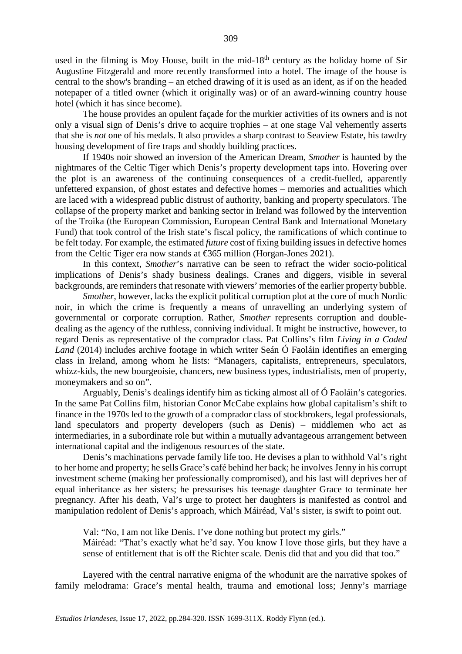used in the filming is Moy House, built in the mid- $18<sup>th</sup>$  century as the holiday home of Sir Augustine Fitzgerald and more recently transformed into a hotel. The image of the house is central to the show's branding – an etched drawing of it is used as an ident, as if on the headed notepaper of a titled owner (which it originally was) or of an award-winning country house hotel (which it has since become).

The house provides an opulent façade for the murkier activities of its owners and is not only a visual sign of Denis's drive to acquire trophies – at one stage Val vehemently asserts that she is *not* one of his medals. It also provides a sharp contrast to Seaview Estate, his tawdry housing development of fire traps and shoddy building practices.

If 1940s noir showed an inversion of the American Dream, *Smother* is haunted by the nightmares of the Celtic Tiger which Denis's property development taps into. Hovering over the plot is an awareness of the continuing consequences of a credit-fuelled, apparently unfettered expansion, of ghost estates and defective homes – memories and actualities which are laced with a widespread public distrust of authority, banking and property speculators. The collapse of the property market and banking sector in Ireland was followed by the intervention of the Troika (the European Commission, European Central Bank and International Monetary Fund) that took control of the Irish state's fiscal policy, the ramifications of which continue to be felt today. For example, the estimated *future* cost of fixing building issues in defective homes from the Celtic Tiger era now stands at €365 million (Horgan-Jones 2021).

In this context, *Smother*'s narrative can be seen to refract the wider socio-political implications of Denis's shady business dealings. Cranes and diggers, visible in several backgrounds, are reminders that resonate with viewers' memories of the earlier property bubble.

*Smother*, however, lacks the explicit political corruption plot at the core of much Nordic noir, in which the crime is frequently a means of unravelling an underlying system of governmental or corporate corruption. Rather, *Smother* represents corruption and doubledealing as the agency of the ruthless, conniving individual. It might be instructive, however, to regard Denis as representative of the comprador class. Pat Collins's film *Living in a Coded Land* (2014) includes archive footage in which writer Seán Ó Faoláin identifies an emerging class in Ireland, among whom he lists: "Managers, capitalists, entrepreneurs, speculators, whizz-kids, the new bourgeoisie, chancers, new business types, industrialists, men of property, moneymakers and so on".

Arguably, Denis's dealings identify him as ticking almost all of Ó Faoláin's categories. In the same Pat Collins film, historian Conor McCabe explains how global capitalism's shift to finance in the 1970s led to the growth of a comprador class of stockbrokers, legal professionals, land speculators and property developers (such as Denis) – middlemen who act as intermediaries, in a subordinate role but within a mutually advantageous arrangement between international capital and the indigenous resources of the state.

Denis's machinations pervade family life too. He devises a plan to withhold Val's right to her home and property; he sells Grace's café behind her back; he involves Jenny in his corrupt investment scheme (making her professionally compromised), and his last will deprives her of equal inheritance as her sisters; he pressurises his teenage daughter Grace to terminate her pregnancy. After his death, Val's urge to protect her daughters is manifested as control and manipulation redolent of Denis's approach, which Máiréad, Val's sister, is swift to point out.

Val: "No, I am not like Denis. I've done nothing but protect my girls." Máiréad: "That's exactly what he'd say. You know I love those girls, but they have a sense of entitlement that is off the Richter scale. Denis did that and you did that too."

Layered with the central narrative enigma of the whodunit are the narrative spokes of family melodrama: Grace's mental health, trauma and emotional loss; Jenny's marriage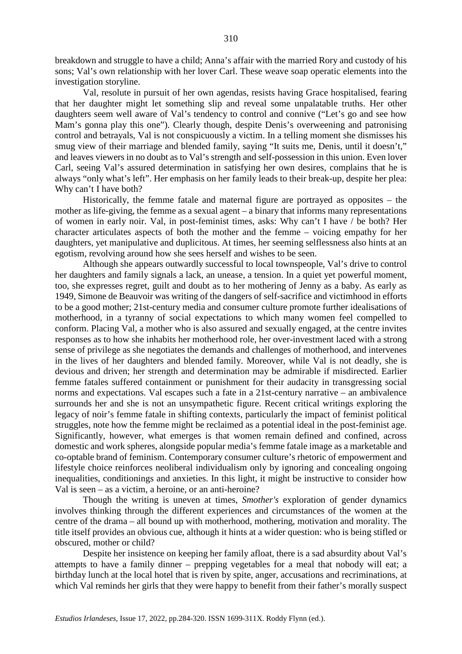breakdown and struggle to have a child; Anna's affair with the married Rory and custody of his sons; Val's own relationship with her lover Carl. These weave soap operatic elements into the investigation storyline.

Val, resolute in pursuit of her own agendas, resists having Grace hospitalised, fearing that her daughter might let something slip and reveal some unpalatable truths. Her other daughters seem well aware of Val's tendency to control and connive ("Let's go and see how Mam's gonna play this one"). Clearly though, despite Denis's overweening and patronising control and betrayals, Val is not conspicuously a victim. In a telling moment she dismisses his smug view of their marriage and blended family, saying "It suits me, Denis, until it doesn't," and leaves viewers in no doubt as to Val's strength and self-possession in this union. Even lover Carl, seeing Val's assured determination in satisfying her own desires, complains that he is always "only what's left". Her emphasis on her family leads to their break-up, despite her plea: Why can't I have both?

Historically, the femme fatale and maternal figure are portrayed as opposites – the mother as life-giving, the femme as a sexual agent – a binary that informs many representations of women in early noir. Val, in post-feminist times, asks: Why can't I have / be both? Her character articulates aspects of both the mother and the femme – voicing empathy for her daughters, yet manipulative and duplicitous. At times, her seeming selflessness also hints at an egotism, revolving around how she sees herself and wishes to be seen.

Although she appears outwardly successful to local townspeople, Val's drive to control her daughters and family signals a lack, an unease, a tension. In a quiet yet powerful moment, too, she expresses regret, guilt and doubt as to her mothering of Jenny as a baby. As early as 1949, Simone de Beauvoir was writing of the dangers of self-sacrifice and victimhood in efforts to be a good mother; 21st-century media and consumer culture promote further idealisations of motherhood, in a tyranny of social expectations to which many women feel compelled to conform. Placing Val, a mother who is also assured and sexually engaged, at the centre invites responses as to how she inhabits her motherhood role, her over-investment laced with a strong sense of privilege as she negotiates the demands and challenges of motherhood, and intervenes in the lives of her daughters and blended family. Moreover, while Val is not deadly, she is devious and driven; her strength and determination may be admirable if misdirected. Earlier femme fatales suffered containment or punishment for their audacity in transgressing social norms and expectations. Val escapes such a fate in a 21st-century narrative – an ambivalence surrounds her and she is not an unsympathetic figure. Recent critical writings exploring the legacy of noir's femme fatale in shifting contexts, particularly the impact of feminist political struggles, note how the femme might be reclaimed as a potential ideal in the post-feminist age. Significantly, however, what emerges is that women remain defined and confined, across domestic and work spheres, alongside popular media's femme fatale image as a marketable and co-optable brand of feminism. Contemporary consumer culture's rhetoric of empowerment and lifestyle choice reinforces neoliberal individualism only by ignoring and concealing ongoing inequalities, conditionings and anxieties. In this light, it might be instructive to consider how Val is seen – as a victim, a heroine, or an anti-heroine?

Though the writing is uneven at times, *Smother's* exploration of gender dynamics involves thinking through the different experiences and circumstances of the women at the centre of the drama – all bound up with motherhood, mothering, motivation and morality. The title itself provides an obvious cue, although it hints at a wider question: who is being stifled or obscured, mother or child?

Despite her insistence on keeping her family afloat, there is a sad absurdity about Val's attempts to have a family dinner – prepping vegetables for a meal that nobody will eat; a birthday lunch at the local hotel that is riven by spite, anger, accusations and recriminations, at which Val reminds her girls that they were happy to benefit from their father's morally suspect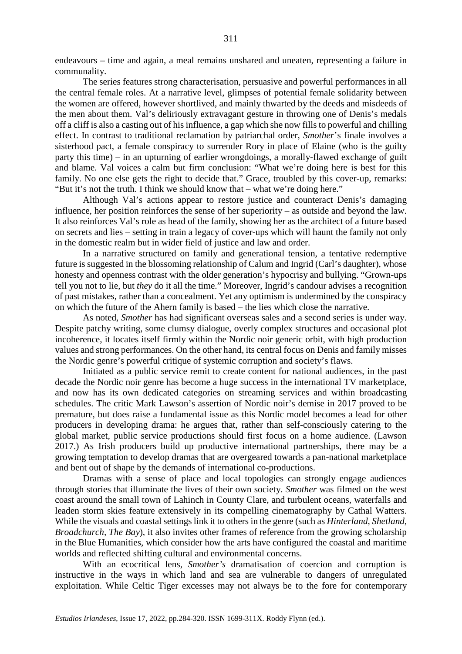endeavours – time and again, a meal remains unshared and uneaten, representing a failure in communality.

The series features strong characterisation, persuasive and powerful performances in all the central female roles. At a narrative level, glimpses of potential female solidarity between the women are offered, however shortlived, and mainly thwarted by the deeds and misdeeds of the men about them. Val's deliriously extravagant gesture in throwing one of Denis's medals off a cliff is also a casting out of his influence, a gap which she now fills to powerful and chilling effect. In contrast to traditional reclamation by patriarchal order, *Smother*'s finale involves a sisterhood pact, a female conspiracy to surrender Rory in place of Elaine (who is the guilty party this time) – in an upturning of earlier wrongdoings, a morally-flawed exchange of guilt and blame. Val voices a calm but firm conclusion: "What we're doing here is best for this family. No one else gets the right to decide that." Grace, troubled by this cover-up, remarks: "But it's not the truth. I think we should know that – what we're doing here."

Although Val's actions appear to restore justice and counteract Denis's damaging influence, her position reinforces the sense of her superiority – as outside and beyond the law. It also reinforces Val's role as head of the family, showing her as the architect of a future based on secrets and lies – setting in train a legacy of cover-ups which will haunt the family not only in the domestic realm but in wider field of justice and law and order.

In a narrative structured on family and generational tension, a tentative redemptive future is suggested in the blossoming relationship of Calum and Ingrid (Carl's daughter), whose honesty and openness contrast with the older generation's hypocrisy and bullying. "Grown-ups tell you not to lie, but *they* do it all the time." Moreover, Ingrid's candour advises a recognition of past mistakes, rather than a concealment. Yet any optimism is undermined by the conspiracy on which the future of the Ahern family is based – the lies which close the narrative.

As noted, *Smother* has had significant overseas sales and a second series is under way. Despite patchy writing, some clumsy dialogue, overly complex structures and occasional plot incoherence, it locates itself firmly within the Nordic noir generic orbit, with high production values and strong performances. On the other hand, its central focus on Denis and family misses the Nordic genre's powerful critique of systemic corruption and society's flaws.

Initiated as a public service remit to create content for national audiences, in the past decade the Nordic noir genre has become a huge success in the international TV marketplace, and now has its own dedicated categories on streaming services and within broadcasting schedules. The critic Mark Lawson's assertion of Nordic noir's demise in 2017 proved to be premature, but does raise a fundamental issue as this Nordic model becomes a lead for other producers in developing drama: he argues that, rather than self-consciously catering to the global market, public service productions should first focus on a home audience. (Lawson 2017.) As Irish producers build up productive international partnerships, there may be a growing temptation to develop dramas that are overgeared towards a pan-national marketplace and bent out of shape by the demands of international co-productions.

Dramas with a sense of place and local topologies can strongly engage audiences through stories that illuminate the lives of their own society. *Smother* was filmed on the west coast around the small town of Lahinch in County Clare, and turbulent oceans, waterfalls and leaden storm skies feature extensively in its compelling cinematography by Cathal Watters. While the visuals and coastal settings link it to others in the genre (such as *Hinterland, Shetland, Broadchurch, The Bay*), it also invites other frames of reference from the growing scholarship in the Blue Humanities, which consider how the arts have configured the coastal and maritime worlds and reflected shifting cultural and environmental concerns.

With an ecocritical lens, *Smother's* dramatisation of coercion and corruption is instructive in the ways in which land and sea are vulnerable to dangers of unregulated exploitation. While Celtic Tiger excesses may not always be to the fore for contemporary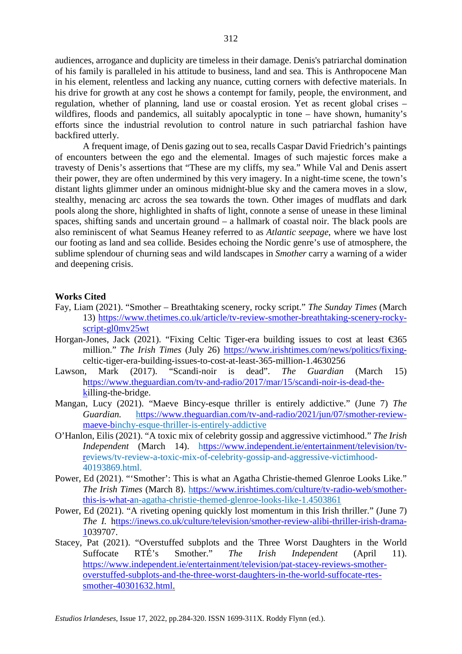audiences, arrogance and duplicity are timeless in their damage. Denis's patriarchal domination of his family is paralleled in his attitude to business, land and sea. This is Anthropocene Man in his element, relentless and lacking any nuance, cutting corners with defective materials. In his drive for growth at any cost he shows a contempt for family, people, the environment, and regulation, whether of planning, land use or coastal erosion. Yet as recent global crises – wildfires, floods and pandemics, all suitably apocalyptic in tone – have shown, humanity's efforts since the industrial revolution to control nature in such patriarchal fashion have backfired utterly.

A frequent image, of Denis gazing out to sea, recalls Caspar David Friedrich's paintings of encounters between the ego and the elemental. Images of such majestic forces make a travesty of Denis's assertions that "These are my cliffs, my sea." While Val and Denis assert their power, they are often undermined by this very imagery. In a night-time scene, the town's distant lights glimmer under an ominous midnight-blue sky and the camera moves in a slow, stealthy, menacing arc across the sea towards the town. Other images of mudflats and dark pools along the shore, highlighted in shafts of light, connote a sense of unease in these liminal spaces, shifting sands and uncertain ground – a hallmark of coastal noir. The black pools are also reminiscent of what Seamus Heaney referred to as *Atlantic seepage*, where we have lost our footing as land and sea collide. Besides echoing the Nordic genre's use of atmosphere, the sublime splendour of churning seas and wild landscapes in *Smother* carry a warning of a wider and deepening crisis.

#### **Works Cited**

- Fay, Liam (2021). "Smother Breathtaking scenery, rocky script." *The Sunday Times* (March 13) [https://www.thetimes.co.uk/article/tv-review-smother-breathtaking-scenery-rocky](https://www.thetimes.co.uk/article/tv-review-smother-breathtaking-scenery-rocky-script-gl0mv25wt)[script-gl0mv25wt](https://www.thetimes.co.uk/article/tv-review-smother-breathtaking-scenery-rocky-script-gl0mv25wt)
- Horgan-Jones, Jack (2021). "Fixing Celtic Tiger-era building issues to cost at least  $\epsilon$ 65 million." *The Irish Times* (July 26) [https://www.irishtimes.com/news/politics/fixing](https://www.irishtimes.com/news/politics/fixing-)celtic-tiger-era-building-issues-to-cost-at-least-365-million-1.4630256
- Lawson, Mark (2017). "Scandi-noir is dead". *The Guardian* (March 15) [https://www.theguardian.com/tv-and-radio/2017/mar/15/scandi-noir-is-dead-the](ttps://www.theguardian.com/tv-and-radio/2017/mar/15/scandi-noir-is-dead-the-k)[ki](ttps://www.theguardian.com/tv-and-radio/2017/mar/15/scandi-noir-is-dead-the-k)lling-the-bridge.
- Mangan, Lucy (2021). "Maeve Bincy-esque thriller is entirely addictive." (June 7) *The Guardian.* [https://www.theguardian.com/tv-and-radio/2021/jun/07/smother-review](ttps://www.theguardian.com/tv-and-radio/2021/jun/07/smother-review-maeve-b)[maeve-bi](ttps://www.theguardian.com/tv-and-radio/2021/jun/07/smother-review-maeve-b)nchy-esque-thriller-is-entirely-addictive
- O'Hanlon, Eilis (2021). "A toxic mix of celebrity gossip and aggressive victimhood." *The Irish Independent* (March 14). [https://www.independent.ie/entertainment/television/tv](ttps://www.independent.ie/entertainment/television/tv-r)[re](ttps://www.independent.ie/entertainment/television/tv-r)views/tv-review-a-toxic-mix-of-celebrity-gossip-and-aggressive-victimhood-40193869.html.
- Power, Ed (2021). "'Smother': This is what an Agatha Christie-themed Glenroe Looks Like." *The Irish Times* (March 8). [https://www.irishtimes.com/culture/tv-radio-web/smother](ttps://www.irishtimes.com/culture/tv-radio-web/smother-this-is-what-a)[this-is-what-an](ttps://www.irishtimes.com/culture/tv-radio-web/smother-this-is-what-a)-agatha-christie-themed-glenroe-looks-like-1.4503861
- Power, Ed (2021). "A riveting opening quickly lost momentum in this Irish thriller." (June 7) *The I.* [https://inews.co.uk/culture/television/smother-review-alibi-thriller-irish-drama-](ttps://inews.co.uk/culture/television/smother-review-alibi-thriller-irish-drama-1)[10](ttps://inews.co.uk/culture/television/smother-review-alibi-thriller-irish-drama-1)39707.
- Stacey, Pat (2021). "Overstuffed subplots and the Three Worst Daughters in the World Suffocate RTÉ's Smother." *The Irish Independent* (April 11). [https://www.independent.ie/entertainment/television/pat-stacey-reviews-smother](https://www.independent.ie/entertainment/television/pat-stacey-reviews-smother-overstuffed-subplots-and-the-three-worst-daughters-in-the-world-suffocate-rtes-smother-40301632.html)[overstuffed-subplots-and-the-three-worst-daughters-in-the-world-suffocate-rtes](https://www.independent.ie/entertainment/television/pat-stacey-reviews-smother-overstuffed-subplots-and-the-three-worst-daughters-in-the-world-suffocate-rtes-smother-40301632.html)[smother-40301632.html.](https://www.independent.ie/entertainment/television/pat-stacey-reviews-smother-overstuffed-subplots-and-the-three-worst-daughters-in-the-world-suffocate-rtes-smother-40301632.html)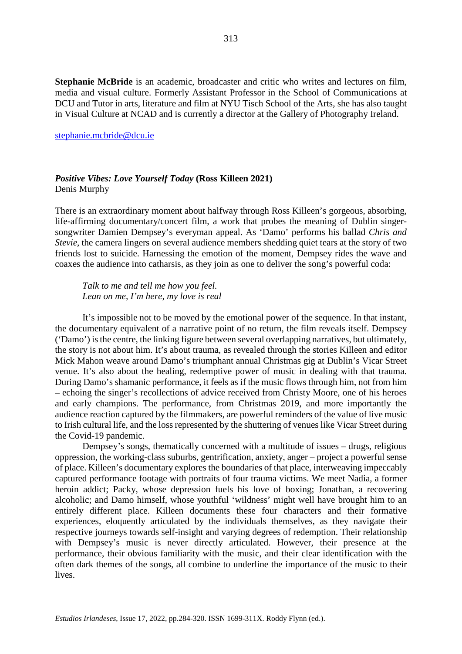**Stephanie McBride** is an academic, broadcaster and critic who writes and lectures on film, media and visual culture. Formerly Assistant Professor in the School of Communications at DCU and Tutor in arts, literature and film at NYU Tisch School of the Arts, she has also taught in Visual Culture at NCAD and is currently a director at the Gallery of Photography Ireland.

#### [stephanie.mcbride@dcu.ie](mailto:stephanie.mcbride@dcu.ie)

#### *Positive Vibes: Love Yourself Today* **(Ross Killeen 2021)** Denis Murphy

There is an extraordinary moment about halfway through Ross Killeen's gorgeous, absorbing, life-affirming documentary/concert film, a work that probes the meaning of Dublin singersongwriter Damien Dempsey's everyman appeal. As 'Damo' performs his ballad *Chris and Stevie*, the camera lingers on several audience members shedding quiet tears at the story of two friends lost to suicide. Harnessing the emotion of the moment, Dempsey rides the wave and coaxes the audience into catharsis, as they join as one to deliver the song's powerful coda:

*Talk to me and tell me how you feel. Lean on me, I'm here, my love is real*

It's impossible not to be moved by the emotional power of the sequence. In that instant, the documentary equivalent of a narrative point of no return, the film reveals itself. Dempsey ('Damo') is the centre, the linking figure between several overlapping narratives, but ultimately, the story is not about him. It's about trauma, as revealed through the stories Killeen and editor Mick Mahon weave around Damo's triumphant annual Christmas gig at Dublin's Vicar Street venue. It's also about the healing, redemptive power of music in dealing with that trauma. During Damo's shamanic performance, it feels as if the music flows through him, not from him – echoing the singer's recollections of advice received from Christy Moore, one of his heroes and early champions. The performance, from Christmas 2019, and more importantly the audience reaction captured by the filmmakers, are powerful reminders of the value of live music to Irish cultural life, and the loss represented by the shuttering of venues like Vicar Street during the Covid-19 pandemic.

Dempsey's songs, thematically concerned with a multitude of issues – drugs, religious oppression, the working-class suburbs, gentrification, anxiety, anger – project a powerful sense of place. Killeen's documentary explores the boundaries of that place, interweaving impeccably captured performance footage with portraits of four trauma victims. We meet Nadia, a former heroin addict; Packy, whose depression fuels his love of boxing; Jonathan, a recovering alcoholic; and Damo himself, whose youthful 'wildness' might well have brought him to an entirely different place. Killeen documents these four characters and their formative experiences, eloquently articulated by the individuals themselves, as they navigate their respective journeys towards self-insight and varying degrees of redemption. Their relationship with Dempsey's music is never directly articulated. However, their presence at the performance, their obvious familiarity with the music, and their clear identification with the often dark themes of the songs, all combine to underline the importance of the music to their lives.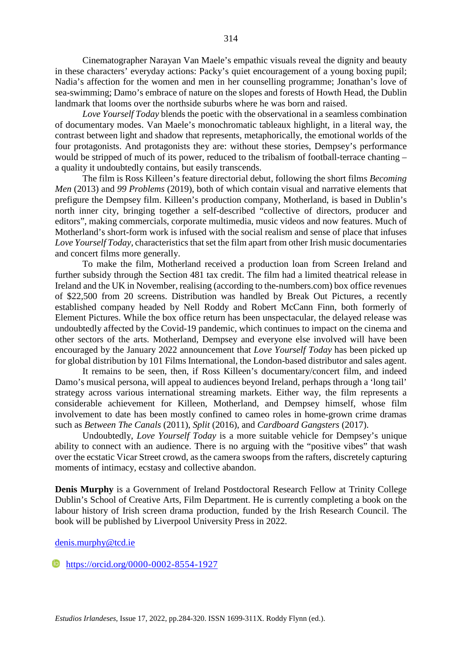Cinematographer Narayan Van Maele's empathic visuals reveal the dignity and beauty in these characters' everyday actions: Packy's quiet encouragement of a young boxing pupil; Nadia's affection for the women and men in her counselling programme; Jonathan's love of sea-swimming; Damo's embrace of nature on the slopes and forests of Howth Head, the Dublin landmark that looms over the northside suburbs where he was born and raised.

*Love Yourself Today* blends the poetic with the observational in a seamless combination of documentary modes. Van Maele's monochromatic tableaux highlight, in a literal way, the contrast between light and shadow that represents, metaphorically, the emotional worlds of the four protagonists. And protagonists they are: without these stories, Dempsey's performance would be stripped of much of its power, reduced to the tribalism of football-terrace chanting – a quality it undoubtedly contains, but easily transcends.

The film is Ross Killeen's feature directorial debut, following the short films *Becoming Men* (2013) and *99 Problems* (2019), both of which contain visual and narrative elements that prefigure the Dempsey film. Killeen's production company, Motherland, is based in Dublin's north inner city, bringing together a self-described "collective of directors, producer and editors", making commercials, corporate multimedia, music videos and now features. Much of Motherland's short-form work is infused with the social realism and sense of place that infuses *Love Yourself Today*, characteristics that set the film apart from other Irish music documentaries and concert films more generally.

To make the film, Motherland received a production loan from Screen Ireland and further subsidy through the Section 481 tax credit. The film had a limited theatrical release in Ireland and the UK in November, realising (according to the-numbers.com) box office revenues of \$22,500 from 20 screens. Distribution was handled by Break Out Pictures, a recently established company headed by Nell Roddy and Robert McCann Finn, both formerly of Element Pictures. While the box office return has been unspectacular, the delayed release was undoubtedly affected by the Covid-19 pandemic, which continues to impact on the cinema and other sectors of the arts. Motherland, Dempsey and everyone else involved will have been encouraged by the January 2022 announcement that *Love Yourself Today* has been picked up for global distribution by 101 Films International, the London-based distributor and sales agent.

It remains to be seen, then, if Ross Killeen's documentary/concert film, and indeed Damo's musical persona, will appeal to audiences beyond Ireland, perhaps through a 'long tail' strategy across various international streaming markets. Either way, the film represents a considerable achievement for Killeen, Motherland, and Dempsey himself, whose film involvement to date has been mostly confined to cameo roles in home-grown crime dramas such as *Between The Canals* (2011), *Split* (2016), and *Cardboard Gangsters* (2017).

Undoubtedly, *Love Yourself Today* is a more suitable vehicle for Dempsey's unique ability to connect with an audience. There is no arguing with the "positive vibes" that wash over the ecstatic Vicar Street crowd, as the camera swoops from the rafters, discretely capturing moments of intimacy, ecstasy and collective abandon.

**Denis Murphy** is a Government of Ireland Postdoctoral Research Fellow at Trinity College Dublin's School of Creative Arts, Film Department. He is currently completing a book on the labour history of Irish screen drama production, funded by the Irish Research Council. The book will be published by Liverpool University Press in 2022.

[denis.murphy@tcd.ie](mailto:denis.murphy@tcd.ie)

**<https://orcid.org/0000-0002-8554-1927>**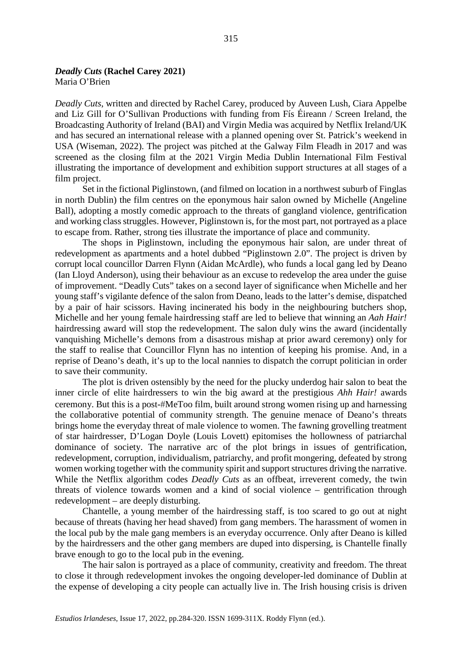*Deadly Cuts*, written and directed by Rachel Carey, produced by Auveen Lush, Ciara Appelbe and Liz Gill for O'Sullivan Productions with funding from Fís Éireann / Screen Ireland, the Broadcasting Authority of Ireland (BAI) and Virgin Media was acquired by Netflix Ireland/UK and has secured an international release with a planned opening over St. Patrick's weekend in USA (Wiseman, 2022). The project was pitched at the Galway Film Fleadh in 2017 and was screened as the closing film at the 2021 Virgin Media Dublin International Film Festival illustrating the importance of development and exhibition support structures at all stages of a film project.

Set in the fictional Piglinstown, (and filmed on location in a northwest suburb of Finglas in north Dublin) the film centres on the eponymous hair salon owned by Michelle (Angeline Ball), adopting a mostly comedic approach to the threats of gangland violence, gentrification and working class struggles. However, Piglinstown is, for the most part, not portrayed as a place to escape from. Rather, strong ties illustrate the importance of place and community.

The shops in Piglinstown, including the eponymous hair salon, are under threat of redevelopment as apartments and a hotel dubbed "Piglinstown 2.0". The project is driven by corrupt local councillor Darren Flynn (Aidan McArdle), who funds a local gang led by Deano (Ian Lloyd Anderson), using their behaviour as an excuse to redevelop the area under the guise of improvement. "Deadly Cuts" takes on a second layer of significance when Michelle and her young staff's vigilante defence of the salon from Deano, leads to the latter's demise, dispatched by a pair of hair scissors. Having incinerated his body in the neighbouring butchers shop, Michelle and her young female hairdressing staff are led to believe that winning an *Aah Hair!* hairdressing award will stop the redevelopment. The salon duly wins the award (incidentally vanquishing Michelle's demons from a disastrous mishap at prior award ceremony) only for the staff to realise that Councillor Flynn has no intention of keeping his promise. And, in a reprise of Deano's death, it's up to the local nannies to dispatch the corrupt politician in order to save their community.

The plot is driven ostensibly by the need for the plucky underdog hair salon to beat the inner circle of elite hairdressers to win the big award at the prestigious *Ahh Hair!* awards ceremony. But this is a post-#MeToo film, built around strong women rising up and harnessing the collaborative potential of community strength. The genuine menace of Deano's threats brings home the everyday threat of male violence to women. The fawning grovelling treatment of star hairdresser, D'Logan Doyle (Louis Lovett) epitomises the hollowness of patriarchal dominance of society. The narrative arc of the plot brings in issues of gentrification, redevelopment, corruption, individualism, patriarchy, and profit mongering, defeated by strong women working together with the community spirit and support structures driving the narrative. While the Netflix algorithm codes *Deadly Cuts* as an offbeat, irreverent comedy, the twin threats of violence towards women and a kind of social violence – gentrification through redevelopment – are deeply disturbing.

Chantelle, a young member of the hairdressing staff, is too scared to go out at night because of threats (having her head shaved) from gang members. The harassment of women in the local pub by the male gang members is an everyday occurrence. Only after Deano is killed by the hairdressers and the other gang members are duped into dispersing, is Chantelle finally brave enough to go to the local pub in the evening.

The hair salon is portrayed as a place of community, creativity and freedom. The threat to close it through redevelopment invokes the ongoing developer-led dominance of Dublin at the expense of developing a city people can actually live in. The Irish housing crisis is driven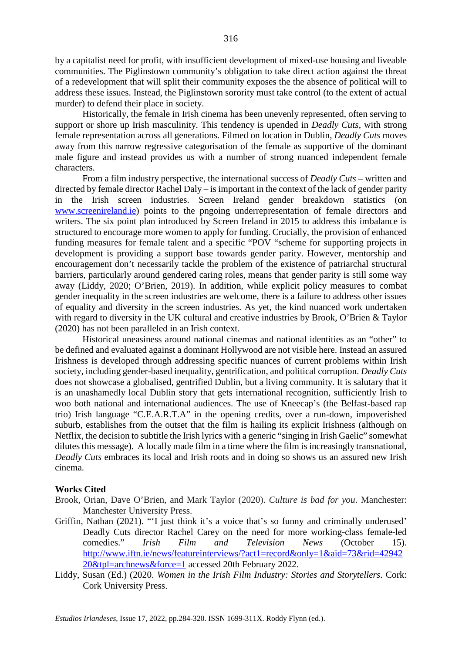by a capitalist need for profit, with insufficient development of mixed-use housing and liveable communities. The Piglinstown community's obligation to take direct action against the threat of a redevelopment that will split their community exposes the the absence of political will to address these issues. Instead, the Piglinstown sorority must take control (to the extent of actual murder) to defend their place in society.

Historically, the female in Irish cinema has been unevenly represented, often serving to support or shore up Irish masculinity. This tendency is upended in *Deadly Cuts*, with strong female representation across all generations. Filmed on location in Dublin, *Deadly Cuts* moves away from this narrow regressive categorisation of the female as supportive of the dominant male figure and instead provides us with a number of strong nuanced independent female characters.

From a film industry perspective, the international success of *Deadly Cuts* – written and directed by female director Rachel Daly – is important in the context of the lack of gender parity in the Irish screen industries. Screen Ireland gender breakdown statistics (on [www.screenireland.ie\)](http://www.screenireland.ie/) points to the pngoing underrepresentation of female directors and writers. The six point plan introduced by Screen Ireland in 2015 to address this imbalance is structured to encourage more women to apply for funding. Crucially, the provision of enhanced funding measures for female talent and a specific "POV "scheme for supporting projects in development is providing a support base towards gender parity. However, mentorship and encouragement don't necessarily tackle the problem of the existence of patriarchal structural barriers, particularly around gendered caring roles, means that gender parity is still some way away (Liddy, 2020; O'Brien, 2019). In addition, while explicit policy measures to combat gender inequality in the screen industries are welcome, there is a failure to address other issues of equality and diversity in the screen industries. As yet, the kind nuanced work undertaken with regard to diversity in the UK cultural and creative industries by Brook, O'Brien & Taylor (2020) has not been paralleled in an Irish context.

Historical uneasiness around national cinemas and national identities as an "other" to be defined and evaluated against a dominant Hollywood are not visible here. Instead an assured Irishness is developed through addressing specific nuances of current problems within Irish society, including gender-based inequality, gentrification, and political corruption. *Deadly Cuts* does not showcase a globalised, gentrified Dublin, but a living community. It is salutary that it is an unashamedly local Dublin story that gets international recognition, sufficiently Irish to woo both national and international audiences. The use of Kneecap's (the Belfast-based rap trio) Irish language "C.E.A.R.T.A" in the opening credits, over a run-down, impoverished suburb, establishes from the outset that the film is hailing its explicit Irishness (although on Netflix, the decision to subtitle the Irish lyrics with a generic "singing in Irish Gaelic" somewhat dilutes this message). A locally made film in a time where the film is increasingly transnational, *Deadly Cuts* embraces its local and Irish roots and in doing so shows us an assured new Irish cinema.

#### **Works Cited**

- Brook, Orian, Dave O'Brien, and Mark Taylor (2020). *Culture is bad for you*. Manchester: Manchester University Press.
- Griffin, Nathan (2021). "'I just think it's a voice that's so funny and criminally underused' Deadly Cuts director Rachel Carey on the need for more working-class female-led comedies." *Irish Film and Television News* (October 15). [http://www.iftn.ie/news/featureinterviews/?act1=record&only=1&aid=73&rid=42942](http://www.iftn.ie/news/featureinterviews/?act1=record&only=1&aid=73&rid=4294220&tpl=archnews&force=1) [20&tpl=archnews&force=1](http://www.iftn.ie/news/featureinterviews/?act1=record&only=1&aid=73&rid=4294220&tpl=archnews&force=1) accessed 20th February 2022.
- Liddy, Susan (Ed.) (2020. *Women in the Irish Film Industry: Stories and Storytellers*. Cork: Cork University Press.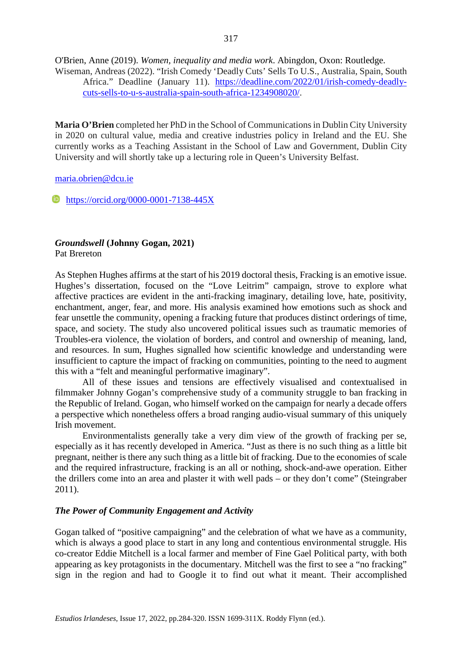O'Brien, Anne (2019). *Women, inequality and media work*. Abingdon, Oxon: Routledge. Wiseman, Andreas (2022). "Irish Comedy 'Deadly Cuts' Sells To U.S., Australia, Spain, South Africa." Deadline (January 11). [https://deadline.com/2022/01/irish-comedy-deadly](https://deadline.com/2022/01/irish-comedy-deadly-cuts-sells-to-u-s-australia-spain-south-africa-1234908020/)[cuts-sells-to-u-s-australia-spain-south-africa-1234908020/.](https://deadline.com/2022/01/irish-comedy-deadly-cuts-sells-to-u-s-australia-spain-south-africa-1234908020/)

**Maria O'Brien** completed her PhD in the School of Communications in Dublin City University in 2020 on cultural value, media and creative industries policy in Ireland and the EU. She currently works as a Teaching Assistant in the School of Law and Government, Dublin City University and will shortly take up a lecturing role in Queen's University Belfast.

#### [maria.obrien@dcu.ie](mailto:maria.obrien@dcu.ie)

#### **<https://orcid.org/0000-0001-7138-445X>**

## *Groundswell* **(Johnny Gogan, 2021)**

Pat Brereton

As Stephen Hughes affirms at the start of his 2019 doctoral thesis, Fracking is an emotive issue. Hughes's dissertation, focused on the "Love Leitrim" campaign, strove to explore what affective practices are evident in the anti-fracking imaginary, detailing love, hate, positivity, enchantment, anger, fear, and more. His analysis examined how emotions such as shock and fear unsettle the community, opening a fracking future that produces distinct orderings of time, space, and society. The study also uncovered political issues such as traumatic memories of Troubles-era violence, the violation of borders, and control and ownership of meaning, land, and resources. In sum, Hughes signalled how scientific knowledge and understanding were insufficient to capture the impact of fracking on communities, pointing to the need to augment this with a "felt and meaningful performative imaginary".

All of these issues and tensions are effectively visualised and contextualised in filmmaker Johnny Gogan's comprehensive study of a community struggle to ban fracking in the Republic of Ireland. Gogan, who himself worked on the campaign for nearly a decade offers a perspective which nonetheless offers a broad ranging audio-visual summary of this uniquely Irish movement.

Environmentalists generally take a very dim view of the growth of fracking per se, especially as it has recently developed in America. "Just as there is no such thing as a little bit pregnant, neither is there any such thing as a little bit of fracking. Due to the economies of scale and the required infrastructure, fracking is an all or nothing, shock-and-awe operation. Either the drillers come into an area and plaster it with well pads – or they don't come" (Steingraber 2011).

#### *The Power of Community Engagement and Activity*

Gogan talked of "positive campaigning" and the celebration of what we have as a community, which is always a good place to start in any long and contentious environmental struggle. His co-creator Eddie Mitchell is a local farmer and member of Fine Gael Political party, with both appearing as key protagonists in the documentary. Mitchell was the first to see a "no fracking" sign in the region and had to Google it to find out what it meant. Their accomplished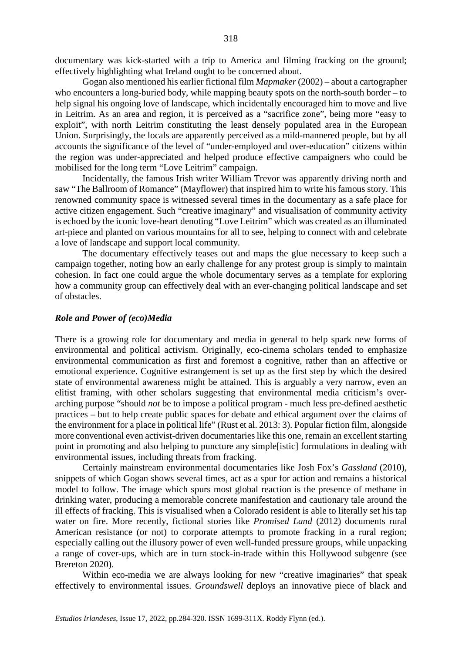documentary was kick-started with a trip to America and filming fracking on the ground; effectively highlighting what Ireland ought to be concerned about.

Gogan also mentioned his earlier fictional film *Mapmaker* (2002) – about a cartographer who encounters a long-buried body, while mapping beauty spots on the north-south border – to help signal his ongoing love of landscape, which incidentally encouraged him to move and live in Leitrim. As an area and region, it is perceived as a "sacrifice zone", being more "easy to exploit", with north Leitrim constituting the least densely populated area in the European Union. Surprisingly, the locals are apparently perceived as a mild-mannered people, but by all accounts the significance of the level of "under-employed and over-education" citizens within the region was under-appreciated and helped produce effective campaigners who could be mobilised for the long term "Love Leitrim" campaign.

Incidentally, the famous Irish writer William Trevor was apparently driving north and saw "The Ballroom of Romance" (Mayflower) that inspired him to write his famous story. This renowned community space is witnessed several times in the documentary as a safe place for active citizen engagement. Such "creative imaginary" and visualisation of community activity is echoed by the iconic love-heart denoting "Love Leitrim" which was created as an illuminated art-piece and planted on various mountains for all to see, helping to connect with and celebrate a love of landscape and support local community.

The documentary effectively teases out and maps the glue necessary to keep such a campaign together, noting how an early challenge for any protest group is simply to maintain cohesion. In fact one could argue the whole documentary serves as a template for exploring how a community group can effectively deal with an ever-changing political landscape and set of obstacles.

#### *Role and Power of (eco)Media*

There is a growing role for documentary and media in general to help spark new forms of environmental and political activism. Originally, eco-cinema scholars tended to emphasize environmental communication as first and foremost a cognitive, rather than an affective or emotional experience. Cognitive estrangement is set up as the first step by which the desired state of environmental awareness might be attained. This is arguably a very narrow, even an elitist framing, with other scholars suggesting that environmental media criticism's overarching purpose "should *not* be to impose a political program - much less pre-defined aesthetic practices – but to help create public spaces for debate and ethical argument over the claims of the environment for a place in political life" (Rust et al. 2013: 3). Popular fiction film, alongside more conventional even activist-driven documentaries like this one, remain an excellent starting point in promoting and also helping to puncture any simple[istic] formulations in dealing with environmental issues, including threats from fracking.

Certainly mainstream environmental documentaries like Josh Fox's *Gassland* (2010), snippets of which Gogan shows several times, act as a spur for action and remains a historical model to follow. The image which spurs most global reaction is the presence of methane in drinking water, producing a memorable concrete manifestation and cautionary tale around the ill effects of fracking. This is visualised when a Colorado resident is able to literally set his tap water on fire. More recently, fictional stories like *Promised Land* (2012) documents rural American resistance (or not) to corporate attempts to promote fracking in a rural region; especially calling out the illusory power of even well-funded pressure groups, while unpacking a range of cover-ups, which are in turn stock-in-trade within this Hollywood subgenre (see Brereton 2020).

Within eco-media we are always looking for new "creative imaginaries" that speak effectively to environmental issues. *Groundswell* deploys an innovative piece of black and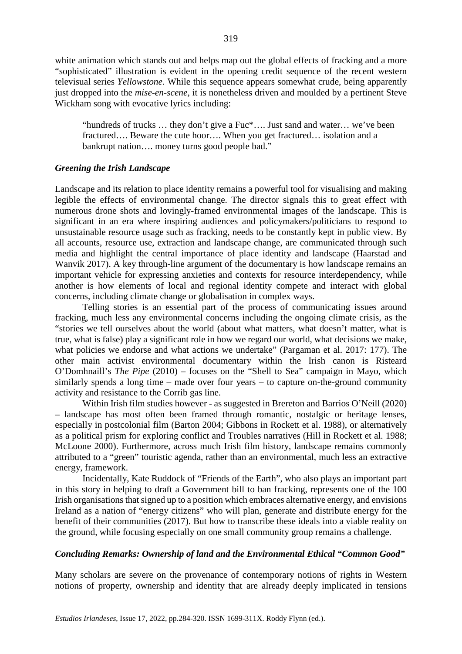white animation which stands out and helps map out the global effects of fracking and a more "sophisticated" illustration is evident in the opening credit sequence of the recent western televisual series *Yellowstone*. While this sequence appears somewhat crude, being apparently just dropped into the *mise-en-scene*, it is nonetheless driven and moulded by a pertinent Steve Wickham song with evocative lyrics including:

"hundreds of trucks … they don't give a Fuc\*…. Just sand and water… we've been fractured…. Beware the cute hoor…. When you get fractured… isolation and a bankrupt nation…. money turns good people bad."

#### *Greening the Irish Landscape*

Landscape and its relation to place identity remains a powerful tool for visualising and making legible the effects of environmental change. The director signals this to great effect with numerous drone shots and lovingly-framed environmental images of the landscape. This is significant in an era where inspiring audiences and policymakers/politicians to respond to unsustainable resource usage such as fracking, needs to be constantly kept in public view. By all accounts, resource use, extraction and landscape change, are communicated through such media and highlight the central importance of place identity and landscape (Haarstad and Wanvik 2017). A key through-line argument of the documentary is how landscape remains an important vehicle for expressing anxieties and contexts for resource interdependency, while another is how elements of local and regional identity compete and interact with global concerns, including climate change or globalisation in complex ways.

Telling stories is an essential part of the process of communicating issues around fracking, much less any environmental concerns including the ongoing climate crisis, as the "stories we tell ourselves about the world (about what matters, what doesn't matter, what is true, what is false) play a significant role in how we regard our world, what decisions we make, what policies we endorse and what actions we undertake" (Pargaman et al. 2017: 177). The other main activist environmental documentary within the Irish canon is Risteard O'Domhnaill's *The Pipe* (2010) – focuses on the "Shell to Sea" campaign in Mayo, which similarly spends a long time – made over four years – to capture on-the-ground community activity and resistance to the Corrib gas line.

Within Irish film studies however - as suggested in Brereton and Barrios O'Neill (2020) – landscape has most often been framed through romantic, nostalgic or heritage lenses, especially in postcolonial film (Barton 2004; Gibbons in Rockett et al. 1988), or alternatively as a political prism for exploring conflict and Troubles narratives (Hill in Rockett et al. 1988; McLoone 2000). Furthermore, across much Irish film history, landscape remains commonly attributed to a "green" touristic agenda, rather than an environmental, much less an extractive energy, framework.

Incidentally, Kate Ruddock of "Friends of the Earth", who also plays an important part in this story in helping to draft a Government bill to ban fracking, represents one of the 100 Irish organisations that signed up to a position which embraces alternative energy, and envisions Ireland as a nation of "energy citizens" who will plan, generate and distribute energy for the benefit of their communities (2017). But how to transcribe these ideals into a viable reality on the ground, while focusing especially on one small community group remains a challenge.

#### *Concluding Remarks: Ownership of land and the Environmental Ethical "Common Good"*

Many scholars are severe on the provenance of contemporary notions of rights in Western notions of property, ownership and identity that are already deeply implicated in tensions